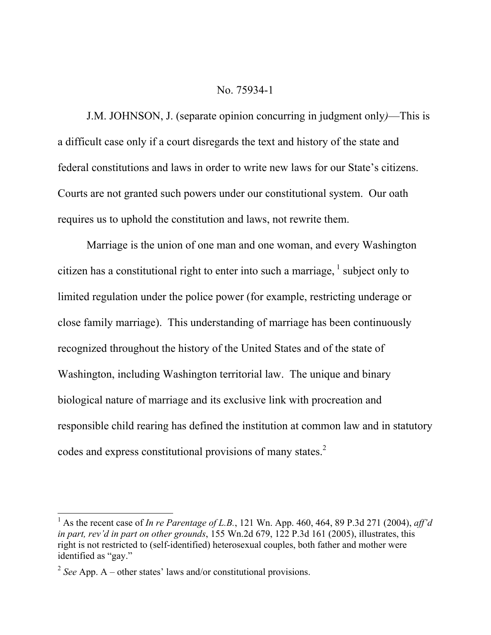### No. 75934-1

J.M. JOHNSON, J. (separate opinion concurring in judgment only*)*—This is a difficult case only if a court disregards the text and history of the state and federal constitutions and laws in order to write new laws for our State's citizens. Courts are not granted such powers under our constitutional system. Our oath requires us to uphold the constitution and laws, not rewrite them.

Marriage is the union of one man and one woman, and every Washington citizen has a constitutional right to enter into such a marriage,  $\frac{1}{1}$  subject only to limited regulation under the police power (for example, restricting underage or close family marriage). This understanding of marriage has been continuously recognized throughout the history of the United States and of the state of Washington, including Washington territorial law. The unique and binary biological nature of marriage and its exclusive link with procreation and responsible child rearing has defined the institution at common law and in statutory codes and express constitutional provisions of many states.<sup>2</sup>

l

<sup>1</sup> As the recent case of *In re Parentage of L.B.*, 121 Wn. App. 460, 464, 89 P.3d 271 (2004), *aff'd in part, rev'd in part on other grounds*, 155 Wn.2d 679, 122 P.3d 161 (2005), illustrates, this right is not restricted to (self-identified) heterosexual couples, both father and mother were identified as "gay."

<sup>2</sup> *See* App. A – other states' laws and/or constitutional provisions.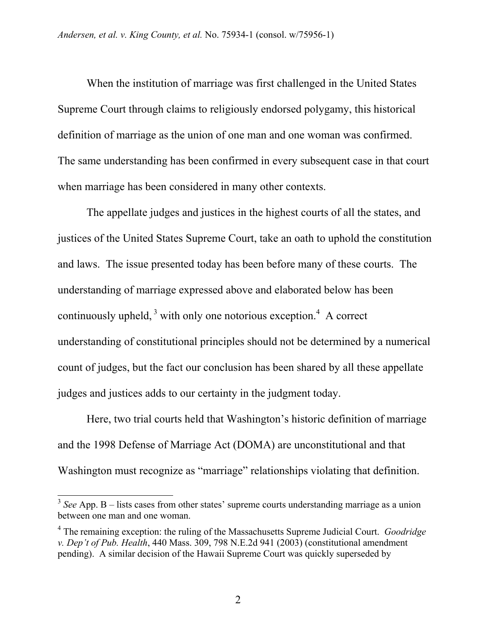When the institution of marriage was first challenged in the United States Supreme Court through claims to religiously endorsed polygamy, this historical definition of marriage as the union of one man and one woman was confirmed. The same understanding has been confirmed in every subsequent case in that court when marriage has been considered in many other contexts.

The appellate judges and justices in the highest courts of all the states, and justices of the United States Supreme Court, take an oath to uphold the constitution and laws. The issue presented today has been before many of these courts. The understanding of marriage expressed above and elaborated below has been continuously upheld,  $3$  with only one notorious exception.<sup>4</sup> A correct understanding of constitutional principles should not be determined by a numerical count of judges, but the fact our conclusion has been shared by all these appellate judges and justices adds to our certainty in the judgment today.

Here, two trial courts held that Washington's historic definition of marriage and the 1998 Defense of Marriage Act (DOMA) are unconstitutional and that Washington must recognize as "marriage" relationships violating that definition.

l

<sup>3</sup> *See* App. B – lists cases from other states' supreme courts understanding marriage as a union between one man and one woman.

<sup>4</sup> The remaining exception: the ruling of the Massachusetts Supreme Judicial Court. *Goodridge v. Dep't of Pub. Health*, 440 Mass. 309, 798 N.E.2d 941 (2003) (constitutional amendment pending). A similar decision of the Hawaii Supreme Court was quickly superseded by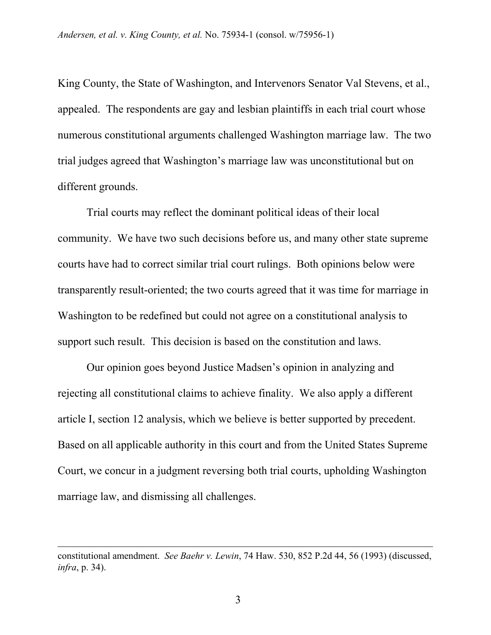King County, the State of Washington, and Intervenors Senator Val Stevens, et al., appealed. The respondents are gay and lesbian plaintiffs in each trial court whose numerous constitutional arguments challenged Washington marriage law. The two trial judges agreed that Washington's marriage law was unconstitutional but on different grounds.

Trial courts may reflect the dominant political ideas of their local community. We have two such decisions before us, and many other state supreme courts have had to correct similar trial court rulings. Both opinions below were transparently result-oriented; the two courts agreed that it was time for marriage in Washington to be redefined but could not agree on a constitutional analysis to support such result. This decision is based on the constitution and laws.

Our opinion goes beyond Justice Madsen's opinion in analyzing and rejecting all constitutional claims to achieve finality. We also apply a different article I, section 12 analysis, which we believe is better supported by precedent. Based on all applicable authority in this court and from the United States Supreme Court, we concur in a judgment reversing both trial courts, upholding Washington marriage law, and dismissing all challenges.

 $\overline{\phantom{a}}$ 

constitutional amendment. *See Baehr v. Lewin*, 74 Haw. 530, 852 P.2d 44, 56 (1993) (discussed, *infra*, p. 34).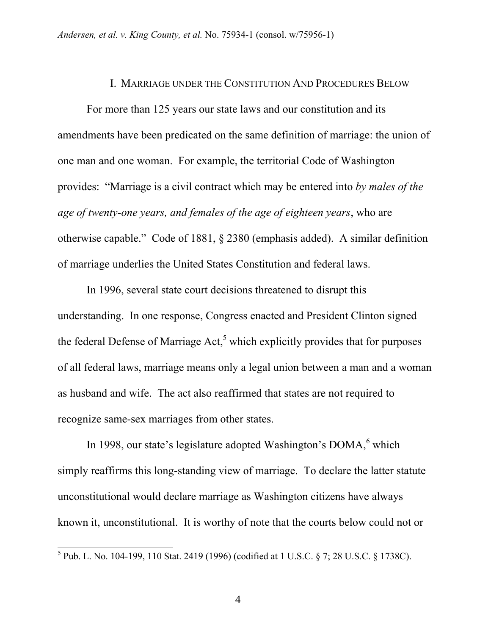## I. MARRIAGE UNDER THE CONSTITUTION AND PROCEDURES BELOW

For more than 125 years our state laws and our constitution and its amendments have been predicated on the same definition of marriage: the union of one man and one woman. For example, the territorial Code of Washington provides: "Marriage is a civil contract which may be entered into *by males of the age of twenty-one years, and females of the age of eighteen years*, who are otherwise capable." Code of 1881, § 2380 (emphasis added). A similar definition of marriage underlies the United States Constitution and federal laws.

In 1996, several state court decisions threatened to disrupt this understanding. In one response, Congress enacted and President Clinton signed the federal Defense of Marriage  $Act<sub>o</sub><sup>5</sup>$  which explicitly provides that for purposes of all federal laws, marriage means only a legal union between a man and a woman as husband and wife. The act also reaffirmed that states are not required to recognize same-sex marriages from other states.

In 1998, our state's legislature adopted Washington's DOMA,<sup>6</sup> which simply reaffirms this long-standing view of marriage. To declare the latter statute unconstitutional would declare marriage as Washington citizens have always known it, unconstitutional. It is worthy of note that the courts below could not or

 5 Pub. L. No. 104-199, 110 Stat. 2419 (1996) (codified at 1 U.S.C. § 7; 28 U.S.C. § 1738C).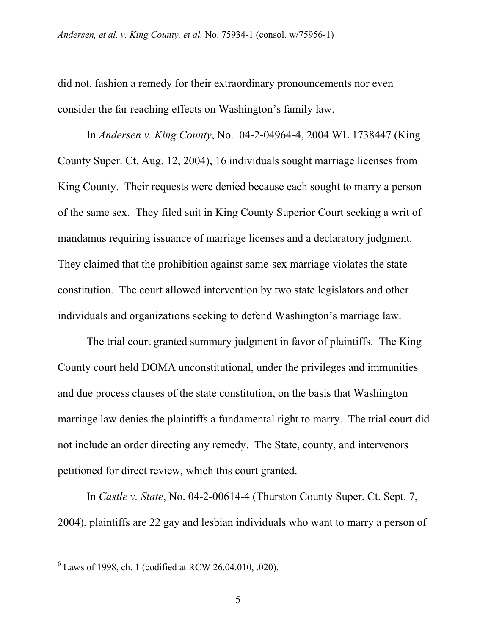did not, fashion a remedy for their extraordinary pronouncements nor even consider the far reaching effects on Washington's family law.

In *Andersen v. King County*, No. 04-2-04964-4, 2004 WL 1738447 (King County Super. Ct. Aug. 12, 2004), 16 individuals sought marriage licenses from King County. Their requests were denied because each sought to marry a person of the same sex. They filed suit in King County Superior Court seeking a writ of mandamus requiring issuance of marriage licenses and a declaratory judgment. They claimed that the prohibition against same-sex marriage violates the state constitution. The court allowed intervention by two state legislators and other individuals and organizations seeking to defend Washington's marriage law.

The trial court granted summary judgment in favor of plaintiffs. The King County court held DOMA unconstitutional, under the privileges and immunities and due process clauses of the state constitution, on the basis that Washington marriage law denies the plaintiffs a fundamental right to marry. The trial court did not include an order directing any remedy. The State, county, and intervenors petitioned for direct review, which this court granted.

In *Castle v. State*, No. 04-2-00614-4 (Thurston County Super. Ct. Sept. 7, 2004), plaintiffs are 22 gay and lesbian individuals who want to marry a person of

 <sup>6</sup> Laws of 1998, ch. 1 (codified at RCW 26.04.010, .020).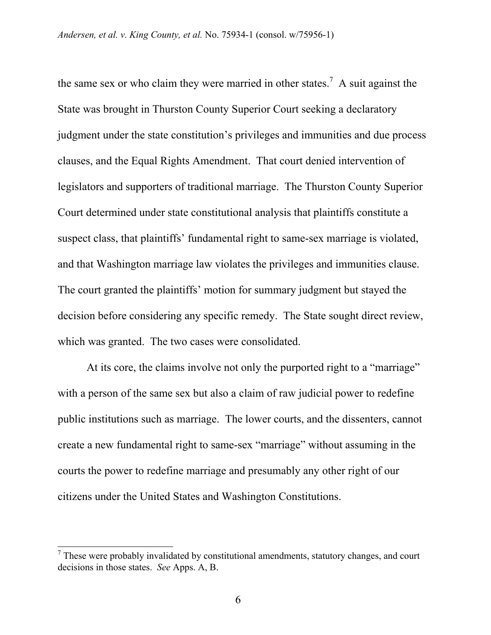the same sex or who claim they were married in other states.<sup>7</sup> A suit against the State was brought in Thurston County Superior Court seeking a declaratory judgment under the state constitution's privileges and immunities and due process clauses, and the Equal Rights Amendment. That court denied intervention of legislators and supporters of traditional marriage. The Thurston County Superior Court determined under state constitutional analysis that plaintiffs constitute a suspect class, that plaintiffs' fundamental right to same-sex marriage is violated, and that Washington marriage law violates the privileges and immunities clause. The court granted the plaintiffs' motion for summary judgment but stayed the decision before considering any specific remedy. The State sought direct review, which was granted. The two cases were consolidated.

At its core, the claims involve not only the purported right to a "marriage" with a person of the same sex but also a claim of raw judicial power to redefine public institutions such as marriage. The lower courts, and the dissenters, cannot create a new fundamental right to same-sex "marriage" without assuming in the courts the power to redefine marriage and presumably any other right of our citizens under the United States and Washington Constitutions.

 $\overline{\phantom{a}}$ 

 $<sup>7</sup>$  These were probably invalidated by constitutional amendments, statutory changes, and court</sup> decisions in those states. *See* Apps. A, B.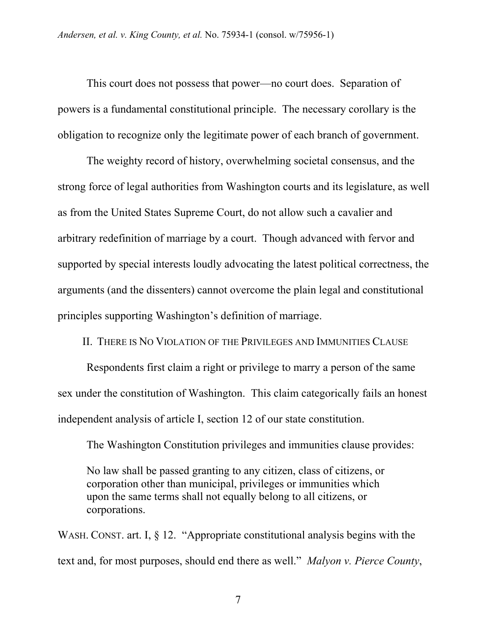This court does not possess that power—no court does. Separation of powers is a fundamental constitutional principle. The necessary corollary is the obligation to recognize only the legitimate power of each branch of government.

The weighty record of history, overwhelming societal consensus, and the strong force of legal authorities from Washington courts and its legislature, as well as from the United States Supreme Court, do not allow such a cavalier and arbitrary redefinition of marriage by a court. Though advanced with fervor and supported by special interests loudly advocating the latest political correctness, the arguments (and the dissenters) cannot overcome the plain legal and constitutional principles supporting Washington's definition of marriage.

II. THERE IS NO VIOLATION OF THE PRIVILEGES AND IMMUNITIES CLAUSE

Respondents first claim a right or privilege to marry a person of the same sex under the constitution of Washington. This claim categorically fails an honest independent analysis of article I, section 12 of our state constitution.

The Washington Constitution privileges and immunities clause provides:

No law shall be passed granting to any citizen, class of citizens, or corporation other than municipal, privileges or immunities which upon the same terms shall not equally belong to all citizens, or corporations.

WASH. CONST. art. I, § 12. "Appropriate constitutional analysis begins with the text and, for most purposes, should end there as well." *Malyon v. Pierce County*,

7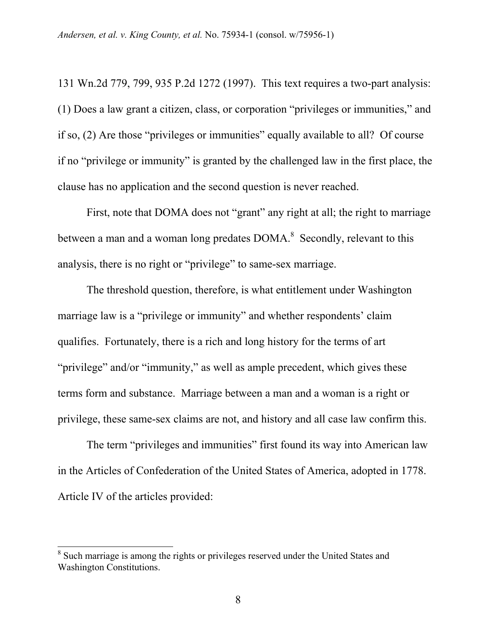131 Wn.2d 779, 799, 935 P.2d 1272 (1997). This text requires a two-part analysis: (1) Does a law grant a citizen, class, or corporation "privileges or immunities," and if so, (2) Are those "privileges or immunities" equally available to all? Of course if no "privilege or immunity" is granted by the challenged law in the first place, the clause has no application and the second question is never reached.

First, note that DOMA does not "grant" any right at all; the right to marriage between a man and a woman long predates  $DOMA$ <sup>8</sup>. Secondly, relevant to this analysis, there is no right or "privilege" to same-sex marriage.

The threshold question, therefore, is what entitlement under Washington marriage law is a "privilege or immunity" and whether respondents' claim qualifies. Fortunately, there is a rich and long history for the terms of art "privilege" and/or "immunity," as well as ample precedent, which gives these terms form and substance. Marriage between a man and a woman is a right or privilege, these same-sex claims are not, and history and all case law confirm this.

The term "privileges and immunities" first found its way into American law in the Articles of Confederation of the United States of America, adopted in 1778. Article IV of the articles provided:

 $\overline{\phantom{a}}$ 

<sup>&</sup>lt;sup>8</sup> Such marriage is among the rights or privileges reserved under the United States and Washington Constitutions.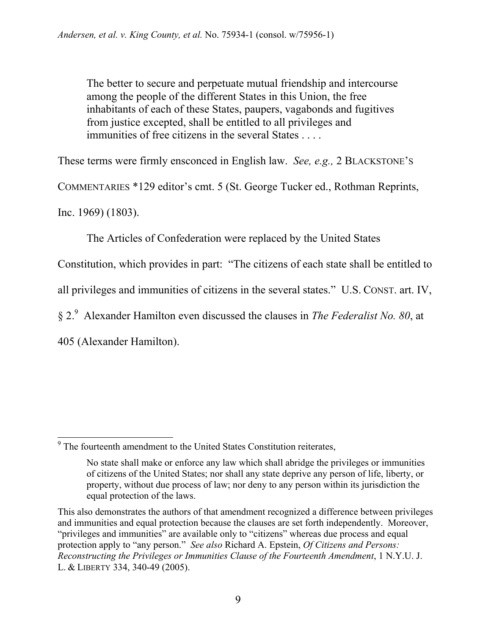The better to secure and perpetuate mutual friendship and intercourse among the people of the different States in this Union, the free inhabitants of each of these States, paupers, vagabonds and fugitives from justice excepted, shall be entitled to all privileges and immunities of free citizens in the several States . . . .

These terms were firmly ensconced in English law. *See, e.g.,* 2 BLACKSTONE'S

COMMENTARIES \*129 editor's cmt. 5 (St. George Tucker ed., Rothman Reprints,

Inc. 1969) (1803).

The Articles of Confederation were replaced by the United States

Constitution, which provides in part: "The citizens of each state shall be entitled to

all privileges and immunities of citizens in the several states." U.S. CONST. art. IV,

§ 2.9 Alexander Hamilton even discussed the clauses in *The Federalist No. 80*, at

405 (Alexander Hamilton).

<sup>&</sup>lt;sup>9</sup> The fourteenth amendment to the United States Constitution reiterates,

No state shall make or enforce any law which shall abridge the privileges or immunities of citizens of the United States; nor shall any state deprive any person of life, liberty, or property, without due process of law; nor deny to any person within its jurisdiction the equal protection of the laws.

This also demonstrates the authors of that amendment recognized a difference between privileges and immunities and equal protection because the clauses are set forth independently. Moreover, "privileges and immunities" are available only to "citizens" whereas due process and equal protection apply to "any person." *See also* Richard A. Epstein, *Of Citizens and Persons: Reconstructing the Privileges or Immunities Clause of the Fourteenth Amendment*, 1 N.Y.U. J. L. & LIBERTY 334, 340-49 (2005).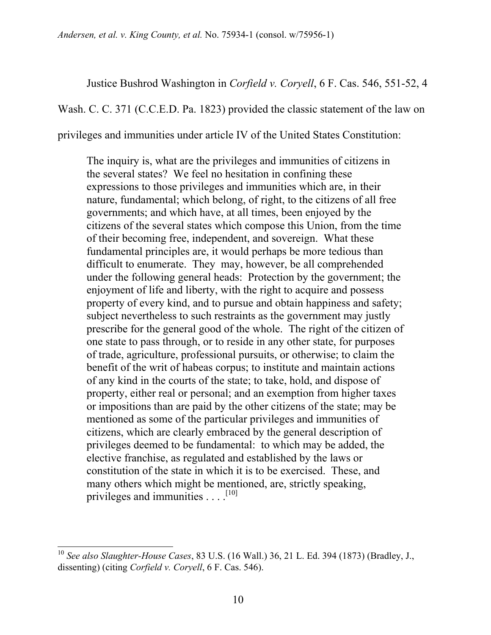Justice Bushrod Washington in *Corfield v. Coryell*, 6 F. Cas. 546, 551-52, 4

Wash. C. C. 371 (C.C.E.D. Pa. 1823) provided the classic statement of the law on

privileges and immunities under article IV of the United States Constitution:

The inquiry is, what are the privileges and immunities of citizens in the several states? We feel no hesitation in confining these expressions to those privileges and immunities which are, in their nature, fundamental; which belong, of right, to the citizens of all free governments; and which have, at all times, been enjoyed by the citizens of the several states which compose this Union, from the time of their becoming free, independent, and sovereign. What these fundamental principles are, it would perhaps be more tedious than difficult to enumerate. They may, however, be all comprehended under the following general heads: Protection by the government; the enjoyment of life and liberty, with the right to acquire and possess property of every kind, and to pursue and obtain happiness and safety; subject nevertheless to such restraints as the government may justly prescribe for the general good of the whole. The right of the citizen of one state to pass through, or to reside in any other state, for purposes of trade, agriculture, professional pursuits, or otherwise; to claim the benefit of the writ of habeas corpus; to institute and maintain actions of any kind in the courts of the state; to take, hold, and dispose of property, either real or personal; and an exemption from higher taxes or impositions than are paid by the other citizens of the state; may be mentioned as some of the particular privileges and immunities of citizens, which are clearly embraced by the general description of privileges deemed to be fundamental: to which may be added, the elective franchise, as regulated and established by the laws or constitution of the state in which it is to be exercised. These, and many others which might be mentioned, are, strictly speaking, privileges and immunities  $\dots$ .  $^{[10]}$ 

 $\overline{\phantom{a}}$ 

<sup>10</sup> *See also Slaughter-House Cases*, 83 U.S. (16 Wall.) 36, 21 L. Ed. 394 (1873) (Bradley, J., dissenting) (citing *Corfield v. Coryell*, 6 F. Cas. 546).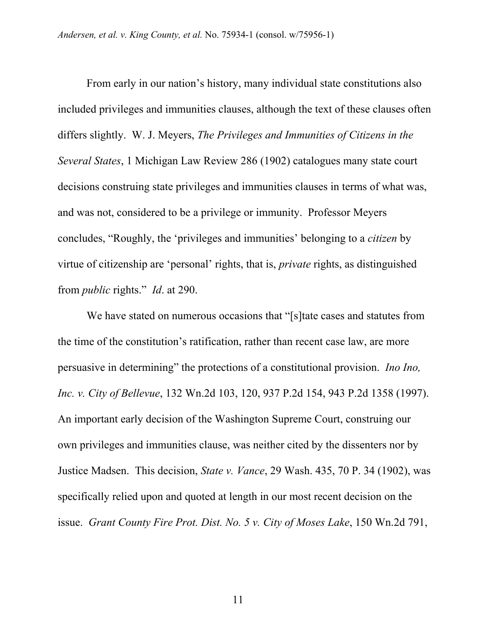From early in our nation's history, many individual state constitutions also included privileges and immunities clauses, although the text of these clauses often differs slightly. W. J. Meyers, *The Privileges and Immunities of Citizens in the Several States*, 1 Michigan Law Review 286 (1902) catalogues many state court decisions construing state privileges and immunities clauses in terms of what was, and was not, considered to be a privilege or immunity. Professor Meyers concludes, "Roughly, the 'privileges and immunities' belonging to a *citizen* by virtue of citizenship are 'personal' rights, that is, *private* rights, as distinguished from *public* rights." *Id*. at 290.

We have stated on numerous occasions that "[s]tate cases and statutes from the time of the constitution's ratification, rather than recent case law, are more persuasive in determining" the protections of a constitutional provision. *Ino Ino, Inc. v. City of Bellevue*, 132 Wn.2d 103, 120, 937 P.2d 154, 943 P.2d 1358 (1997). An important early decision of the Washington Supreme Court, construing our own privileges and immunities clause, was neither cited by the dissenters nor by Justice Madsen. This decision, *State v. Vance*, 29 Wash. 435, 70 P. 34 (1902), was specifically relied upon and quoted at length in our most recent decision on the issue. *Grant County Fire Prot. Dist. No. 5 v. City of Moses Lake*, 150 Wn.2d 791,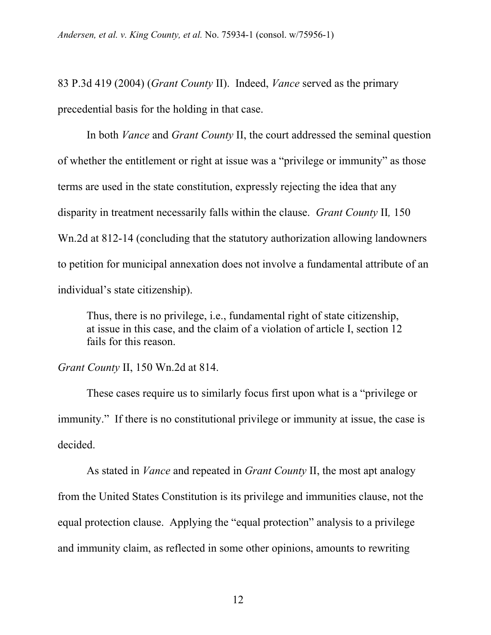83 P.3d 419 (2004) (*Grant County* II). Indeed, *Vance* served as the primary precedential basis for the holding in that case.

In both *Vance* and *Grant County* II, the court addressed the seminal question of whether the entitlement or right at issue was a "privilege or immunity" as those terms are used in the state constitution, expressly rejecting the idea that any disparity in treatment necessarily falls within the clause. *Grant County* II*,* 150 Wn.2d at 812-14 (concluding that the statutory authorization allowing landowners to petition for municipal annexation does not involve a fundamental attribute of an individual's state citizenship).

Thus, there is no privilege, i.e., fundamental right of state citizenship, at issue in this case, and the claim of a violation of article I, section 12 fails for this reason.

*Grant County* II, 150 Wn.2d at 814.

These cases require us to similarly focus first upon what is a "privilege or immunity." If there is no constitutional privilege or immunity at issue, the case is decided.

As stated in *Vance* and repeated in *Grant County* II, the most apt analogy from the United States Constitution is its privilege and immunities clause, not the equal protection clause. Applying the "equal protection" analysis to a privilege and immunity claim, as reflected in some other opinions, amounts to rewriting

12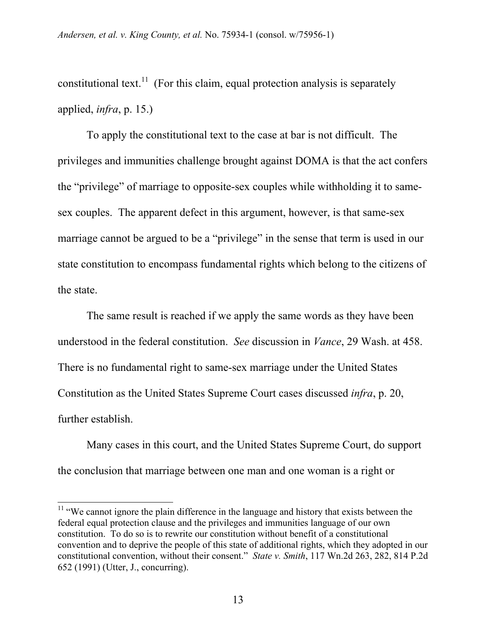constitutional text.<sup>11</sup> (For this claim, equal protection analysis is separately applied, *infra*, p. 15.)

To apply the constitutional text to the case at bar is not difficult. The privileges and immunities challenge brought against DOMA is that the act confers the "privilege" of marriage to opposite-sex couples while withholding it to samesex couples. The apparent defect in this argument, however, is that same-sex marriage cannot be argued to be a "privilege" in the sense that term is used in our state constitution to encompass fundamental rights which belong to the citizens of the state.

The same result is reached if we apply the same words as they have been understood in the federal constitution. *See* discussion in *Vance*, 29 Wash. at 458. There is no fundamental right to same-sex marriage under the United States Constitution as the United States Supreme Court cases discussed *infra*, p. 20, further establish.

Many cases in this court, and the United States Supreme Court, do support the conclusion that marriage between one man and one woman is a right or

 $\overline{\phantom{a}}$ 

 $11$  "We cannot ignore the plain difference in the language and history that exists between the federal equal protection clause and the privileges and immunities language of our own constitution. To do so is to rewrite our constitution without benefit of a constitutional convention and to deprive the people of this state of additional rights, which they adopted in our constitutional convention, without their consent." *State v. Smith*, 117 Wn.2d 263, 282, 814 P.2d 652 (1991) (Utter, J., concurring).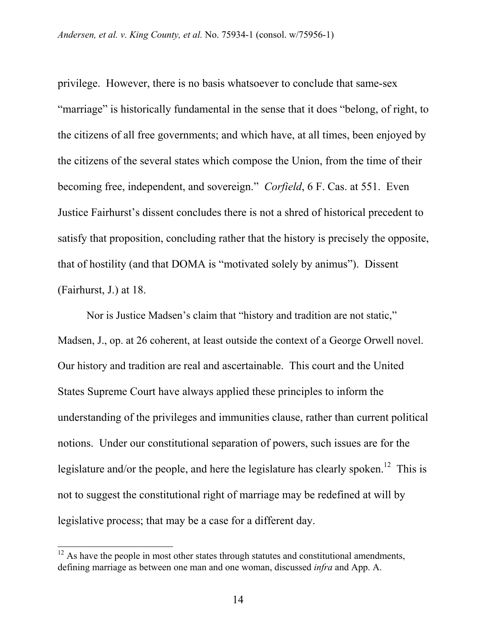privilege. However, there is no basis whatsoever to conclude that same-sex "marriage" is historically fundamental in the sense that it does "belong, of right, to the citizens of all free governments; and which have, at all times, been enjoyed by the citizens of the several states which compose the Union, from the time of their becoming free, independent, and sovereign." *Corfield*, 6 F. Cas. at 551. Even Justice Fairhurst's dissent concludes there is not a shred of historical precedent to satisfy that proposition, concluding rather that the history is precisely the opposite, that of hostility (and that DOMA is "motivated solely by animus"). Dissent (Fairhurst, J.) at 18.

Nor is Justice Madsen's claim that "history and tradition are not static," Madsen, J., op. at 26 coherent, at least outside the context of a George Orwell novel. Our history and tradition are real and ascertainable. This court and the United States Supreme Court have always applied these principles to inform the understanding of the privileges and immunities clause, rather than current political notions. Under our constitutional separation of powers, such issues are for the legislature and/or the people, and here the legislature has clearly spoken.<sup>12</sup> This is not to suggest the constitutional right of marriage may be redefined at will by legislative process; that may be a case for a different day.

 $\overline{\phantom{a}}$ 

 $12$  As have the people in most other states through statutes and constitutional amendments, defining marriage as between one man and one woman, discussed *infra* and App. A.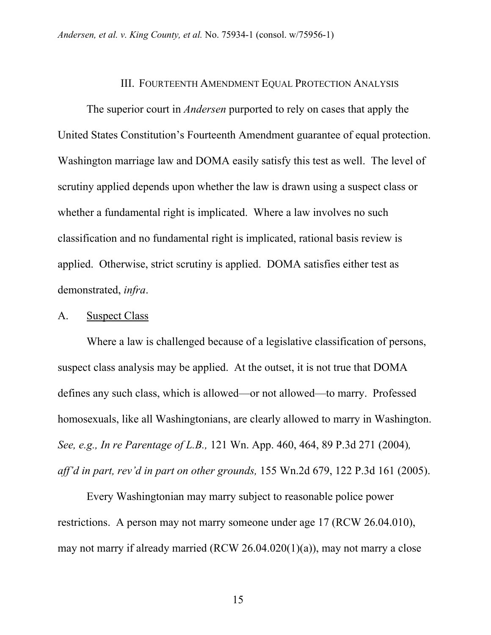#### III. FOURTEENTH AMENDMENT EQUAL PROTECTION ANALYSIS

The superior court in *Andersen* purported to rely on cases that apply the United States Constitution's Fourteenth Amendment guarantee of equal protection. Washington marriage law and DOMA easily satisfy this test as well. The level of scrutiny applied depends upon whether the law is drawn using a suspect class or whether a fundamental right is implicated. Where a law involves no such classification and no fundamental right is implicated, rational basis review is applied. Otherwise, strict scrutiny is applied. DOMA satisfies either test as demonstrated, *infra*.

#### A. Suspect Class

Where a law is challenged because of a legislative classification of persons, suspect class analysis may be applied. At the outset, it is not true that DOMA defines any such class, which is allowed—or not allowed—to marry. Professed homosexuals, like all Washingtonians, are clearly allowed to marry in Washington. *See, e.g., In re Parentage of L.B.,* 121 Wn. App. 460, 464, 89 P.3d 271 (2004)*, aff'd in part, rev'd in part on other grounds,* 155 Wn.2d 679, 122 P.3d 161 (2005).

Every Washingtonian may marry subject to reasonable police power restrictions. A person may not marry someone under age 17 (RCW 26.04.010), may not marry if already married (RCW 26.04.020(1)(a)), may not marry a close

15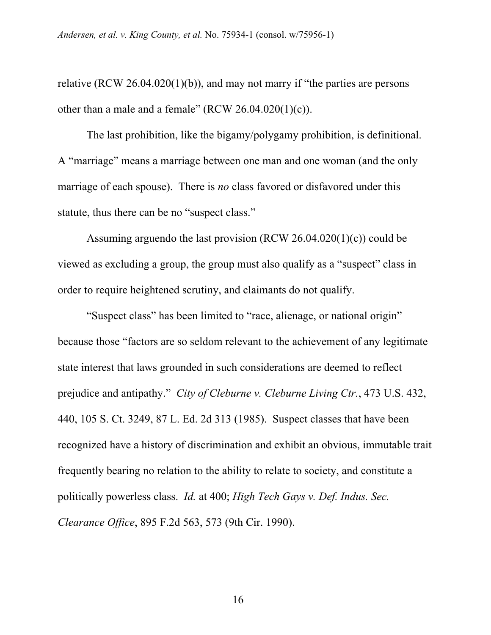relative (RCW 26.04.020(1)(b)), and may not marry if "the parties are persons other than a male and a female"  $(RCW 26.04.020(1)(c))$ .

The last prohibition, like the bigamy/polygamy prohibition, is definitional. A "marriage" means a marriage between one man and one woman (and the only marriage of each spouse). There is *no* class favored or disfavored under this statute, thus there can be no "suspect class."

Assuming arguendo the last provision (RCW 26.04.020(1)(c)) could be viewed as excluding a group, the group must also qualify as a "suspect" class in order to require heightened scrutiny, and claimants do not qualify.

"Suspect class" has been limited to "race, alienage, or national origin" because those "factors are so seldom relevant to the achievement of any legitimate state interest that laws grounded in such considerations are deemed to reflect prejudice and antipathy." *City of Cleburne v. Cleburne Living Ctr.*, 473 U.S. 432, 440, 105 S. Ct. 3249, 87 L. Ed. 2d 313 (1985). Suspect classes that have been recognized have a history of discrimination and exhibit an obvious, immutable trait frequently bearing no relation to the ability to relate to society, and constitute a politically powerless class. *Id.* at 400; *High Tech Gays v. Def. Indus. Sec. Clearance Office*, 895 F.2d 563, 573 (9th Cir. 1990).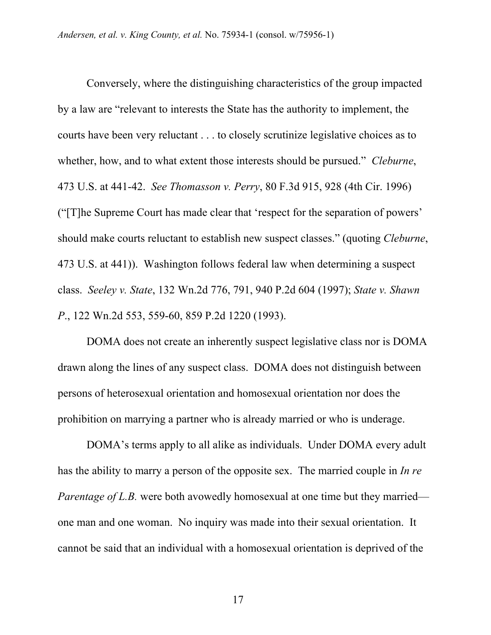Conversely, where the distinguishing characteristics of the group impacted by a law are "relevant to interests the State has the authority to implement, the courts have been very reluctant . . . to closely scrutinize legislative choices as to whether, how, and to what extent those interests should be pursued." *Cleburne*, 473 U.S. at 441-42. *See Thomasson v. Perry*, 80 F.3d 915, 928 (4th Cir. 1996) ("[T]he Supreme Court has made clear that 'respect for the separation of powers' should make courts reluctant to establish new suspect classes." (quoting *Cleburne*, 473 U.S. at 441)). Washington follows federal law when determining a suspect class. *Seeley v. State*, 132 Wn.2d 776, 791, 940 P.2d 604 (1997); *State v. Shawn P*., 122 Wn.2d 553, 559-60, 859 P.2d 1220 (1993).

DOMA does not create an inherently suspect legislative class nor is DOMA drawn along the lines of any suspect class. DOMA does not distinguish between persons of heterosexual orientation and homosexual orientation nor does the prohibition on marrying a partner who is already married or who is underage.

DOMA's terms apply to all alike as individuals. Under DOMA every adult has the ability to marry a person of the opposite sex. The married couple in *In re Parentage of L.B.* were both avowedly homosexual at one time but they married one man and one woman. No inquiry was made into their sexual orientation. It cannot be said that an individual with a homosexual orientation is deprived of the

17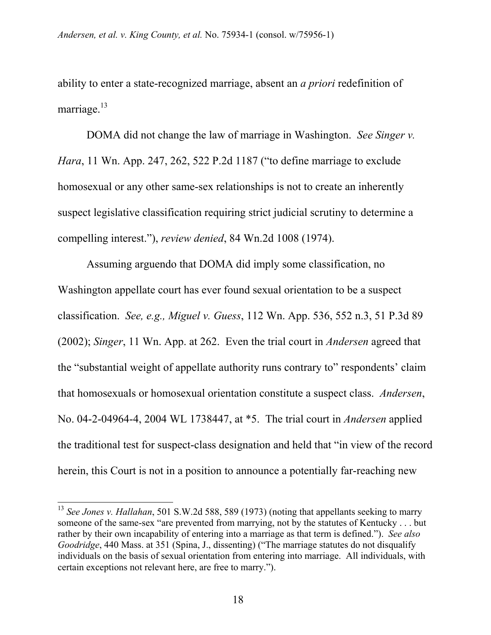ability to enter a state-recognized marriage, absent an *a priori* redefinition of marriage. $^{13}$ 

DOMA did not change the law of marriage in Washington. *See Singer v. Hara*, 11 Wn. App. 247, 262, 522 P.2d 1187 ("to define marriage to exclude homosexual or any other same-sex relationships is not to create an inherently suspect legislative classification requiring strict judicial scrutiny to determine a compelling interest."), *review denied*, 84 Wn.2d 1008 (1974).

Assuming arguendo that DOMA did imply some classification, no Washington appellate court has ever found sexual orientation to be a suspect classification. *See, e.g., Miguel v. Guess*, 112 Wn. App. 536, 552 n.3, 51 P.3d 89 (2002); *Singer*, 11 Wn. App. at 262. Even the trial court in *Andersen* agreed that the "substantial weight of appellate authority runs contrary to" respondents' claim that homosexuals or homosexual orientation constitute a suspect class. *Andersen*, No. 04-2-04964-4, 2004 WL 1738447, at \*5. The trial court in *Andersen* applied the traditional test for suspect-class designation and held that "in view of the record herein, this Court is not in a position to announce a potentially far-reaching new

<sup>&</sup>lt;sup>13</sup> *See Jones v. Hallahan*, 501 S.W.2d 588, 589 (1973) (noting that appellants seeking to marry someone of the same-sex "are prevented from marrying, not by the statutes of Kentucky . . . but rather by their own incapability of entering into a marriage as that term is defined."). *See also Goodridge*, 440 Mass. at 351 (Spina, J., dissenting) ("The marriage statutes do not disqualify individuals on the basis of sexual orientation from entering into marriage. All individuals, with certain exceptions not relevant here, are free to marry.").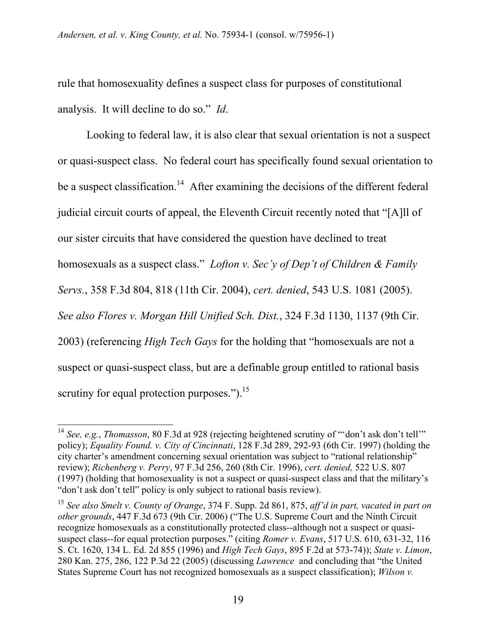rule that homosexuality defines a suspect class for purposes of constitutional analysis. It will decline to do so." *Id*.

Looking to federal law, it is also clear that sexual orientation is not a suspect or quasi-suspect class. No federal court has specifically found sexual orientation to be a suspect classification.<sup>14</sup> After examining the decisions of the different federal judicial circuit courts of appeal, the Eleventh Circuit recently noted that "[A]ll of our sister circuits that have considered the question have declined to treat homosexuals as a suspect class." *Lofton v. Sec'y of Dep't of Children & Family Servs.*, 358 F.3d 804, 818 (11th Cir. 2004), *cert. denied*, 543 U.S. 1081 (2005). *See also Flores v. Morgan Hill Unified Sch. Dist.*, 324 F.3d 1130, 1137 (9th Cir. 2003) (referencing *High Tech Gays* for the holding that "homosexuals are not a suspect or quasi-suspect class, but are a definable group entitled to rational basis scrutiny for equal protection purposes.").<sup>15</sup>

<sup>14</sup> *See, e.g.*, *Thomasson*, 80 F.3d at 928 (rejecting heightened scrutiny of "'don't ask don't tell'" policy); *Equality Found. v. City of Cincinnati*, 128 F.3d 289, 292-93 (6th Cir. 1997) (holding the city charter's amendment concerning sexual orientation was subject to "rational relationship" review); *Richenberg v. Perry*, 97 F.3d 256, 260 (8th Cir. 1996), *cert. denied,* 522 U.S. 807 (1997) (holding that homosexuality is not a suspect or quasi-suspect class and that the military's "don't ask don't tell" policy is only subject to rational basis review).

<sup>15</sup> *See also Smelt v. County of Orange*, 374 F. Supp. 2d 861, 875, *aff'd in part, vacated in part on other grounds*, 447 F.3d 673 (9th Cir. 2006) ("The U.S. Supreme Court and the Ninth Circuit recognize homosexuals as a constitutionally protected class--although not a suspect or quasisuspect class--for equal protection purposes." (citing *Romer v. Evans*, 517 U.S. 610, 631-32, 116 S. Ct. 1620, 134 L. Ed. 2d 855 (1996) and *High Tech Gays*, 895 F.2d at 573-74)); *State v. Limon*, 280 Kan. 275, 286, 122 P.3d 22 (2005) (discussing *Lawrence* and concluding that "the United States Supreme Court has not recognized homosexuals as a suspect classification); *Wilson v.*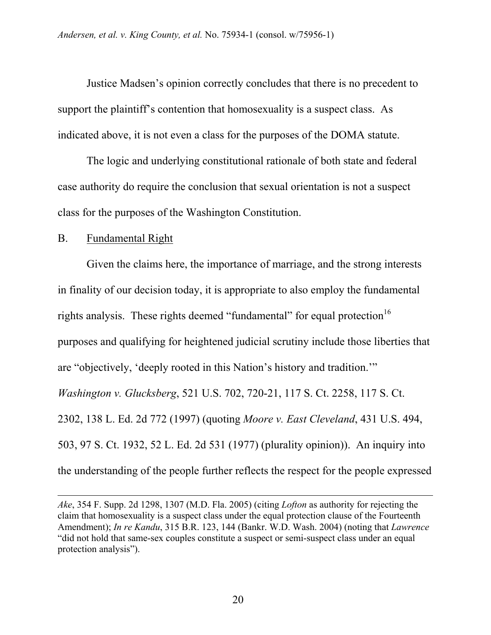Justice Madsen's opinion correctly concludes that there is no precedent to support the plaintiff's contention that homosexuality is a suspect class. As indicated above, it is not even a class for the purposes of the DOMA statute.

The logic and underlying constitutional rationale of both state and federal case authority do require the conclusion that sexual orientation is not a suspect class for the purposes of the Washington Constitution.

### B. Fundamental Right

l

Given the claims here, the importance of marriage, and the strong interests in finality of our decision today, it is appropriate to also employ the fundamental rights analysis. These rights deemed "fundamental" for equal protection  $16$ purposes and qualifying for heightened judicial scrutiny include those liberties that are "objectively, 'deeply rooted in this Nation's history and tradition.'" *Washington v. Glucksberg*, 521 U.S. 702, 720-21, 117 S. Ct. 2258, 117 S. Ct. 2302, 138 L. Ed. 2d 772 (1997) (quoting *Moore v. East Cleveland*, 431 U.S. 494, 503, 97 S. Ct. 1932, 52 L. Ed. 2d 531 (1977) (plurality opinion)). An inquiry into the understanding of the people further reflects the respect for the people expressed

*Ake*, 354 F. Supp. 2d 1298, 1307 (M.D. Fla. 2005) (citing *Lofton* as authority for rejecting the claim that homosexuality is a suspect class under the equal protection clause of the Fourteenth Amendment); *In re Kandu*, 315 B.R. 123, 144 (Bankr. W.D. Wash. 2004) (noting that *Lawrence* "did not hold that same-sex couples constitute a suspect or semi-suspect class under an equal protection analysis").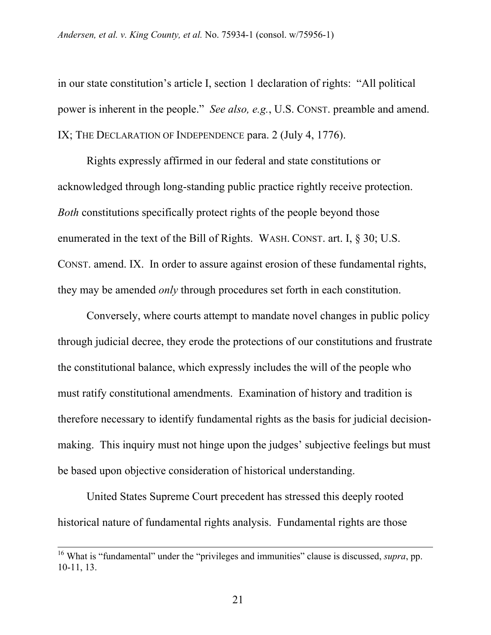in our state constitution's article I, section 1 declaration of rights: "All political power is inherent in the people." *See also, e.g.*, U.S. CONST. preamble and amend. IX; THE DECLARATION OF INDEPENDENCE para. 2 (July 4, 1776).

Rights expressly affirmed in our federal and state constitutions or acknowledged through long-standing public practice rightly receive protection. *Both* constitutions specifically protect rights of the people beyond those enumerated in the text of the Bill of Rights. WASH. CONST. art. I, § 30; U.S. CONST. amend. IX. In order to assure against erosion of these fundamental rights, they may be amended *only* through procedures set forth in each constitution.

Conversely, where courts attempt to mandate novel changes in public policy through judicial decree, they erode the protections of our constitutions and frustrate the constitutional balance, which expressly includes the will of the people who must ratify constitutional amendments. Examination of history and tradition is therefore necessary to identify fundamental rights as the basis for judicial decisionmaking. This inquiry must not hinge upon the judges' subjective feelings but must be based upon objective consideration of historical understanding.

United States Supreme Court precedent has stressed this deeply rooted historical nature of fundamental rights analysis. Fundamental rights are those

 <sup>16</sup> What is "fundamental" under the "privileges and immunities" clause is discussed, *supra*, pp. 10-11, 13.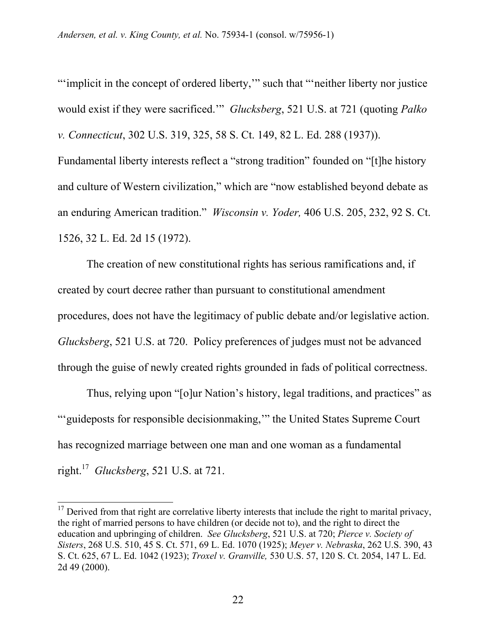"'implicit in the concept of ordered liberty," such that "'neither liberty nor justice would exist if they were sacrificed.'" *Glucksberg*, 521 U.S. at 721 (quoting *Palko v. Connecticut*, 302 U.S. 319, 325, 58 S. Ct. 149, 82 L. Ed. 288 (1937)). Fundamental liberty interests reflect a "strong tradition" founded on "[t]he history and culture of Western civilization," which are "now established beyond debate as an enduring American tradition." *Wisconsin v. Yoder,* 406 U.S. 205, 232, 92 S. Ct.

1526, 32 L. Ed. 2d 15 (1972).

 $\overline{a}$ 

The creation of new constitutional rights has serious ramifications and, if created by court decree rather than pursuant to constitutional amendment procedures, does not have the legitimacy of public debate and/or legislative action. *Glucksberg*, 521 U.S. at 720. Policy preferences of judges must not be advanced through the guise of newly created rights grounded in fads of political correctness.

Thus, relying upon "[o]ur Nation's history, legal traditions, and practices" as "'guideposts for responsible decisionmaking,'" the United States Supreme Court has recognized marriage between one man and one woman as a fundamental right.17 *Glucksberg*, 521 U.S. at 721.

 $17$  Derived from that right are correlative liberty interests that include the right to marital privacy, the right of married persons to have children (or decide not to), and the right to direct the education and upbringing of children. *See Glucksberg*, 521 U.S. at 720; *Pierce v. Society of Sisters*, 268 U.S. 510, 45 S. Ct. 571, 69 L. Ed. 1070 (1925); *Meyer v. Nebraska*, 262 U.S. 390, 43 S. Ct. 625, 67 L. Ed. 1042 (1923); *Troxel v. Granville,* 530 U.S. 57, 120 S. Ct. 2054, 147 L. Ed. 2d 49 (2000).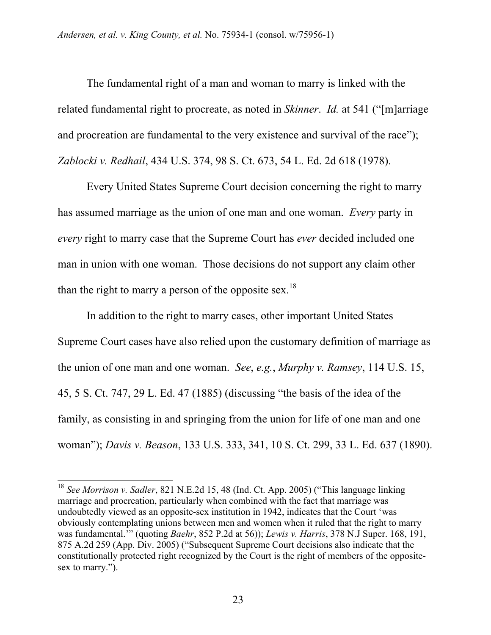The fundamental right of a man and woman to marry is linked with the related fundamental right to procreate, as noted in *Skinner*. *Id.* at 541 ("[m]arriage and procreation are fundamental to the very existence and survival of the race"); *Zablocki v. Redhail*, 434 U.S. 374, 98 S. Ct. 673, 54 L. Ed. 2d 618 (1978).

Every United States Supreme Court decision concerning the right to marry has assumed marriage as the union of one man and one woman. *Every* party in *every* right to marry case that the Supreme Court has *ever* decided included one man in union with one woman. Those decisions do not support any claim other than the right to marry a person of the opposite sex.<sup>18</sup>

In addition to the right to marry cases, other important United States Supreme Court cases have also relied upon the customary definition of marriage as the union of one man and one woman. *See*, *e.g.*, *Murphy v. Ramsey*, 114 U.S. 15, 45, 5 S. Ct. 747, 29 L. Ed. 47 (1885) (discussing "the basis of the idea of the family, as consisting in and springing from the union for life of one man and one woman"); *Davis v. Beason*, 133 U.S. 333, 341, 10 S. Ct. 299, 33 L. Ed. 637 (1890).

<sup>18</sup> *See Morrison v. Sadler*, 821 N.E.2d 15, 48 (Ind. Ct. App. 2005) ("This language linking marriage and procreation, particularly when combined with the fact that marriage was undoubtedly viewed as an opposite-sex institution in 1942, indicates that the Court 'was obviously contemplating unions between men and women when it ruled that the right to marry was fundamental.'" (quoting *Baehr*, 852 P.2d at 56)); *Lewis v. Harris*, 378 N.J Super. 168, 191, 875 A.2d 259 (App. Div. 2005) ("Subsequent Supreme Court decisions also indicate that the constitutionally protected right recognized by the Court is the right of members of the oppositesex to marry.").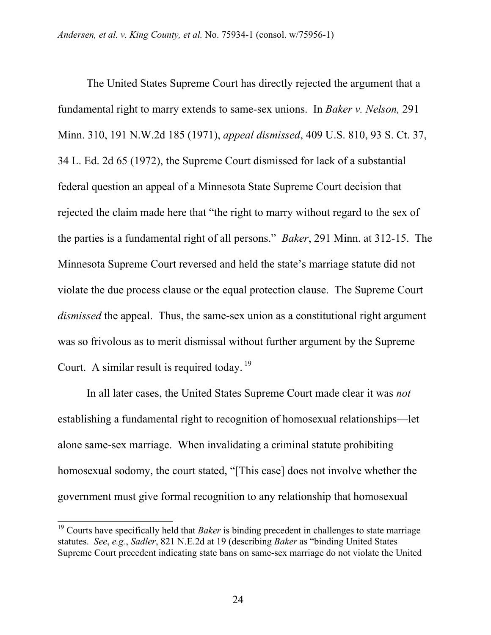The United States Supreme Court has directly rejected the argument that a fundamental right to marry extends to same-sex unions. In *Baker v. Nelson,* 291 Minn. 310, 191 N.W.2d 185 (1971), *appeal dismissed*, 409 U.S. 810, 93 S. Ct. 37, 34 L. Ed. 2d 65 (1972), the Supreme Court dismissed for lack of a substantial federal question an appeal of a Minnesota State Supreme Court decision that rejected the claim made here that "the right to marry without regard to the sex of the parties is a fundamental right of all persons." *Baker*, 291 Minn. at 312-15. The Minnesota Supreme Court reversed and held the state's marriage statute did not violate the due process clause or the equal protection clause. The Supreme Court *dismissed* the appeal. Thus, the same-sex union as a constitutional right argument was so frivolous as to merit dismissal without further argument by the Supreme Court. A similar result is required today.<sup>19</sup>

In all later cases, the United States Supreme Court made clear it was *not* establishing a fundamental right to recognition of homosexual relationships—let alone same-sex marriage. When invalidating a criminal statute prohibiting homosexual sodomy, the court stated, "[This case] does not involve whether the government must give formal recognition to any relationship that homosexual

<sup>&</sup>lt;sup>19</sup> Courts have specifically held that *Baker* is binding precedent in challenges to state marriage statutes. *See*, *e.g.*, *Sadler*, 821 N.E.2d at 19 (describing *Baker* as "binding United States Supreme Court precedent indicating state bans on same-sex marriage do not violate the United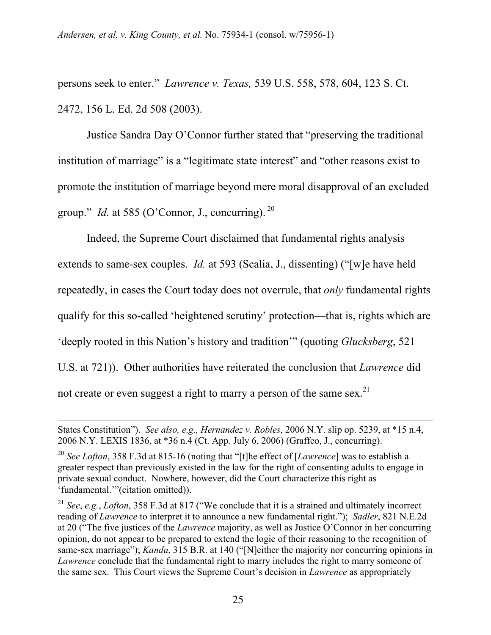persons seek to enter." *Lawrence v. Texas,* 539 U.S. 558, 578, 604, 123 S. Ct. 2472, 156 L. Ed. 2d 508 (2003).

Justice Sandra Day O'Connor further stated that "preserving the traditional institution of marriage" is a "legitimate state interest" and "other reasons exist to promote the institution of marriage beyond mere moral disapproval of an excluded group." *Id.* at 585 (O'Connor, J., concurring).  $^{20}$ 

Indeed, the Supreme Court disclaimed that fundamental rights analysis extends to same-sex couples. *Id.* at 593 (Scalia, J., dissenting) ("[w]e have held repeatedly, in cases the Court today does not overrule, that *only* fundamental rights qualify for this so-called 'heightened scrutiny' protection—that is, rights which are 'deeply rooted in this Nation's history and tradition'" (quoting *Glucksberg*, 521 U.S. at 721)). Other authorities have reiterated the conclusion that *Lawrence* did not create or even suggest a right to marry a person of the same sex.<sup>21</sup>

States Constitution"). *See also, e.g., Hernandez v. Robles*, 2006 N.Y. slip op. 5239, at \*15 n.4, 2006 N.Y. LEXIS 1836, at \*36 n.4 (Ct. App. July 6, 2006) (Graffeo, J., concurring).

<sup>20</sup> *See Lofton*, 358 F.3d at 815-16 (noting that "[t]he effect of [*Lawrence*] was to establish a greater respect than previously existed in the law for the right of consenting adults to engage in private sexual conduct. Nowhere, however, did the Court characterize this right as 'fundamental.'"(citation omitted)).

<sup>21</sup> *See*, *e.g.*, *Lofton*, 358 F.3d at 817 ("We conclude that it is a strained and ultimately incorrect reading of *Lawrence* to interpret it to announce a new fundamental right."); *Sadler*, 821 N.E.2d at 20 ("The five justices of the *Lawrence* majority, as well as Justice O'Connor in her concurring opinion, do not appear to be prepared to extend the logic of their reasoning to the recognition of same-sex marriage"); *Kandu*, 315 B.R. at 140 ("[N]either the majority nor concurring opinions in *Lawrence* conclude that the fundamental right to marry includes the right to marry someone of the same sex. This Court views the Supreme Court's decision in *Lawrence* as appropriately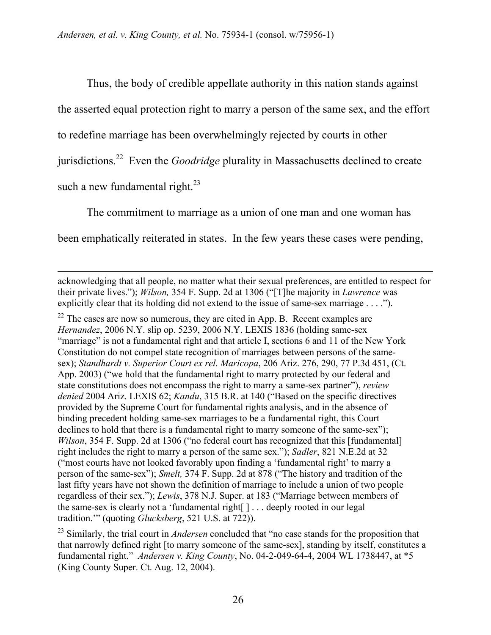$\overline{a}$ 

Thus, the body of credible appellate authority in this nation stands against the asserted equal protection right to marry a person of the same sex, and the effort to redefine marriage has been overwhelmingly rejected by courts in other jurisdictions.22 Even the *Goodridge* plurality in Massachusetts declined to create such a new fundamental right. $^{23}$ 

The commitment to marriage as a union of one man and one woman has been emphatically reiterated in states. In the few years these cases were pending,

acknowledging that all people, no matter what their sexual preferences, are entitled to respect for their private lives."); *Wilson,* 354 F. Supp. 2d at 1306 ("[T]he majority in *Lawrence* was explicitly clear that its holding did not extend to the issue of same-sex marriage . . . .").

 $22$  The cases are now so numerous, they are cited in App. B. Recent examples are *Hernandez*, 2006 N.Y. slip op. 5239, 2006 N.Y. LEXIS 1836 (holding same-sex "marriage" is not a fundamental right and that article I, sections 6 and 11 of the New York Constitution do not compel state recognition of marriages between persons of the samesex); *Standhardt v. Superior Court ex rel. Maricopa*, 206 Ariz. 276, 290, 77 P.3d 451, (Ct. App. 2003) ("we hold that the fundamental right to marry protected by our federal and state constitutions does not encompass the right to marry a same-sex partner"), *review denied* 2004 Ariz. LEXIS 62; *Kandu*, 315 B.R. at 140 ("Based on the specific directives provided by the Supreme Court for fundamental rights analysis, and in the absence of binding precedent holding same-sex marriages to be a fundamental right, this Court declines to hold that there is a fundamental right to marry someone of the same-sex"); *Wilson*, 354 F. Supp. 2d at 1306 ("no federal court has recognized that this [fundamental] right includes the right to marry a person of the same sex."); *Sadler*, 821 N.E.2d at 32 ("most courts have not looked favorably upon finding a 'fundamental right' to marry a person of the same-sex"); *Smelt,* 374 F. Supp. 2d at 878 ("The history and tradition of the last fifty years have not shown the definition of marriage to include a union of two people regardless of their sex."); *Lewis*, 378 N.J. Super. at 183 ("Marriage between members of the same-sex is clearly not a 'fundamental right[ ] . . . deeply rooted in our legal tradition.'" (quoting *Glucksberg*, 521 U.S. at 722)).

<sup>&</sup>lt;sup>23</sup> Similarly, the trial court in *Andersen* concluded that "no case stands for the proposition that that narrowly defined right [to marry someone of the same-sex], standing by itself, constitutes a fundamental right." *Andersen v. King County*, No. 04-2-049-64-4, 2004 WL 1738447, at \*5 (King County Super. Ct. Aug. 12, 2004).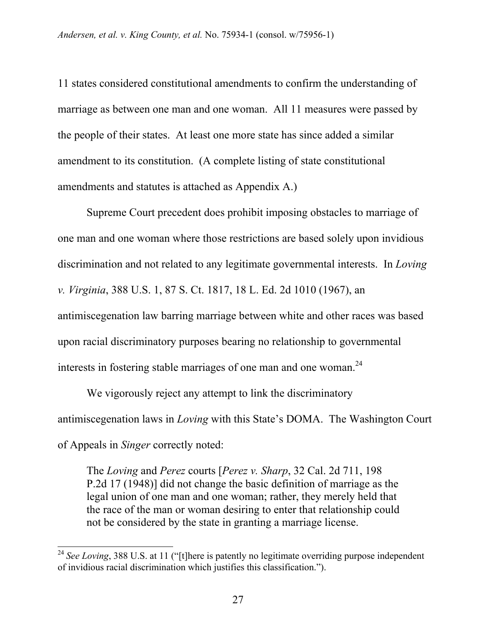11 states considered constitutional amendments to confirm the understanding of marriage as between one man and one woman. All 11 measures were passed by the people of their states. At least one more state has since added a similar amendment to its constitution. (A complete listing of state constitutional amendments and statutes is attached as Appendix A.)

Supreme Court precedent does prohibit imposing obstacles to marriage of one man and one woman where those restrictions are based solely upon invidious discrimination and not related to any legitimate governmental interests. In *Loving v. Virginia*, 388 U.S. 1, 87 S. Ct. 1817, 18 L. Ed. 2d 1010 (1967), an antimiscegenation law barring marriage between white and other races was based upon racial discriminatory purposes bearing no relationship to governmental interests in fostering stable marriages of one man and one woman.<sup>24</sup>

We vigorously reject any attempt to link the discriminatory antimiscegenation laws in *Loving* with this State's DOMA. The Washington Court of Appeals in *Singer* correctly noted:

The *Loving* and *Perez* courts [*Perez v. Sharp*, 32 Cal. 2d 711, 198 P.2d 17 (1948)] did not change the basic definition of marriage as the legal union of one man and one woman; rather, they merely held that the race of the man or woman desiring to enter that relationship could not be considered by the state in granting a marriage license.

<sup>&</sup>lt;sup>24</sup> See Loving, 388 U.S. at 11 ("[t]here is patently no legitimate overriding purpose independent of invidious racial discrimination which justifies this classification.").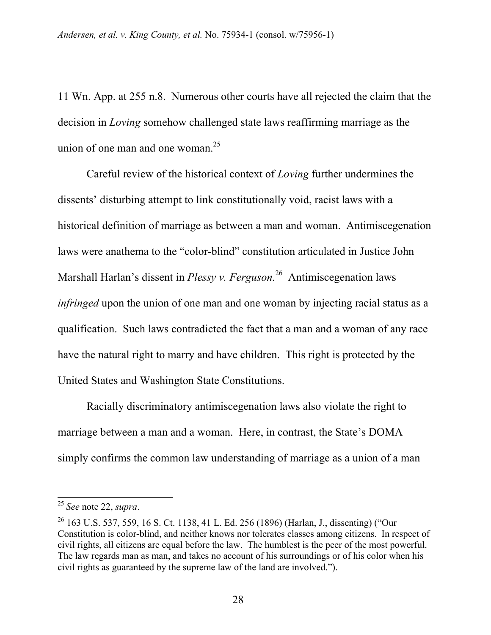11 Wn. App. at 255 n.8. Numerous other courts have all rejected the claim that the decision in *Loving* somehow challenged state laws reaffirming marriage as the union of one man and one woman.<sup>25</sup>

Careful review of the historical context of *Loving* further undermines the dissents' disturbing attempt to link constitutionally void, racist laws with a historical definition of marriage as between a man and woman. Antimiscegenation laws were anathema to the "color-blind" constitution articulated in Justice John Marshall Harlan's dissent in *Plessy v. Ferguson.*26 Antimiscegenation laws *infringed* upon the union of one man and one woman by injecting racial status as a qualification. Such laws contradicted the fact that a man and a woman of any race have the natural right to marry and have children. This right is protected by the United States and Washington State Constitutions.

Racially discriminatory antimiscegenation laws also violate the right to marriage between a man and a woman. Here, in contrast, the State's DOMA simply confirms the common law understanding of marriage as a union of a man

<sup>25</sup> *See* note 22, *supra*.

<sup>26 163</sup> U.S. 537, 559, 16 S. Ct. 1138, 41 L. Ed. 256 (1896) (Harlan, J., dissenting) ("Our Constitution is color-blind, and neither knows nor tolerates classes among citizens. In respect of civil rights, all citizens are equal before the law. The humblest is the peer of the most powerful. The law regards man as man, and takes no account of his surroundings or of his color when his civil rights as guaranteed by the supreme law of the land are involved.").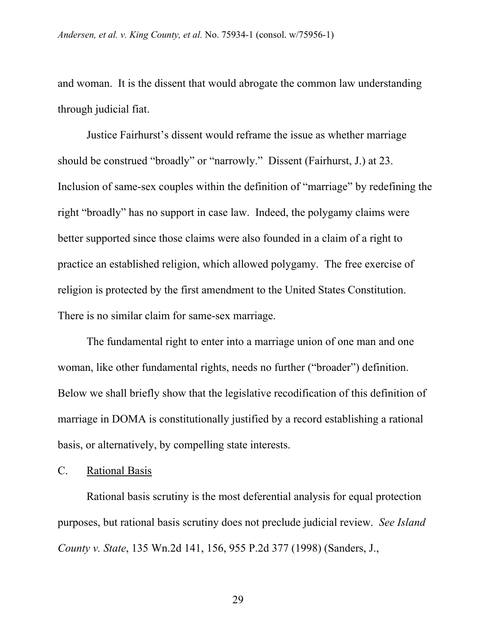and woman. It is the dissent that would abrogate the common law understanding through judicial fiat.

Justice Fairhurst's dissent would reframe the issue as whether marriage should be construed "broadly" or "narrowly." Dissent (Fairhurst, J.) at 23. Inclusion of same-sex couples within the definition of "marriage" by redefining the right "broadly" has no support in case law. Indeed, the polygamy claims were better supported since those claims were also founded in a claim of a right to practice an established religion, which allowed polygamy. The free exercise of religion is protected by the first amendment to the United States Constitution. There is no similar claim for same-sex marriage.

The fundamental right to enter into a marriage union of one man and one woman, like other fundamental rights, needs no further ("broader") definition. Below we shall briefly show that the legislative recodification of this definition of marriage in DOMA is constitutionally justified by a record establishing a rational basis, or alternatively, by compelling state interests.

#### C. Rational Basis

Rational basis scrutiny is the most deferential analysis for equal protection purposes, but rational basis scrutiny does not preclude judicial review. *See Island County v. State*, 135 Wn.2d 141, 156, 955 P.2d 377 (1998) (Sanders, J.,

29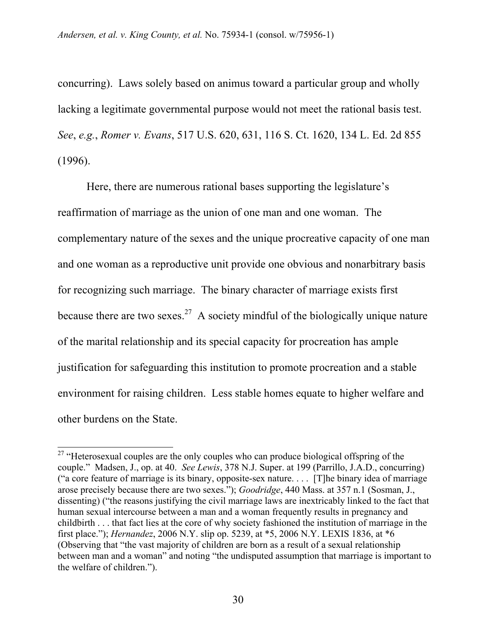concurring). Laws solely based on animus toward a particular group and wholly lacking a legitimate governmental purpose would not meet the rational basis test. *See*, *e.g.*, *Romer v. Evans*, 517 U.S. 620, 631, 116 S. Ct. 1620, 134 L. Ed. 2d 855 (1996).

Here, there are numerous rational bases supporting the legislature's reaffirmation of marriage as the union of one man and one woman. The complementary nature of the sexes and the unique procreative capacity of one man and one woman as a reproductive unit provide one obvious and nonarbitrary basis for recognizing such marriage. The binary character of marriage exists first because there are two sexes.<sup>27</sup> A society mindful of the biologically unique nature of the marital relationship and its special capacity for procreation has ample justification for safeguarding this institution to promote procreation and a stable environment for raising children. Less stable homes equate to higher welfare and other burdens on the State.

<sup>&</sup>lt;sup>27</sup> "Heterosexual couples are the only couples who can produce biological offspring of the couple." Madsen, J., op. at 40. *See Lewis*, 378 N.J. Super. at 199 (Parrillo, J.A.D., concurring) ("a core feature of marriage is its binary, opposite-sex nature. . . . [T]he binary idea of marriage arose precisely because there are two sexes."); *Goodridge*, 440 Mass. at 357 n.1 (Sosman, J., dissenting) ("the reasons justifying the civil marriage laws are inextricably linked to the fact that human sexual intercourse between a man and a woman frequently results in pregnancy and childbirth . . . that fact lies at the core of why society fashioned the institution of marriage in the first place."); *Hernandez*, 2006 N.Y. slip op. 5239, at \*5, 2006 N.Y. LEXIS 1836, at \*6 (Observing that "the vast majority of children are born as a result of a sexual relationship between man and a woman" and noting "the undisputed assumption that marriage is important to the welfare of children.").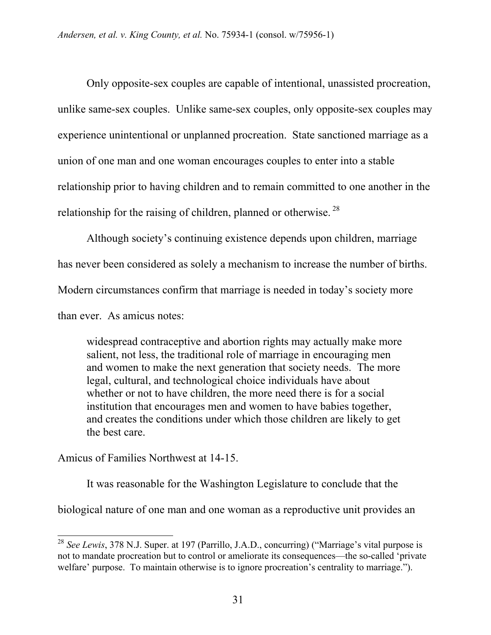Only opposite-sex couples are capable of intentional, unassisted procreation, unlike same-sex couples. Unlike same-sex couples, only opposite-sex couples may experience unintentional or unplanned procreation. State sanctioned marriage as a union of one man and one woman encourages couples to enter into a stable relationship prior to having children and to remain committed to one another in the relationship for the raising of children, planned or otherwise.<sup>28</sup>

Although society's continuing existence depends upon children, marriage has never been considered as solely a mechanism to increase the number of births. Modern circumstances confirm that marriage is needed in today's society more than ever. As amicus notes:

widespread contraceptive and abortion rights may actually make more salient, not less, the traditional role of marriage in encouraging men and women to make the next generation that society needs. The more legal, cultural, and technological choice individuals have about whether or not to have children, the more need there is for a social institution that encourages men and women to have babies together, and creates the conditions under which those children are likely to get the best care.

Amicus of Families Northwest at 14-15.

 $\overline{a}$ 

It was reasonable for the Washington Legislature to conclude that the biological nature of one man and one woman as a reproductive unit provides an

<sup>28</sup> *See Lewis*, 378 N.J. Super. at 197 (Parrillo, J.A.D., concurring) ("Marriage's vital purpose is not to mandate procreation but to control or ameliorate its consequences—the so-called 'private welfare' purpose. To maintain otherwise is to ignore procreation's centrality to marriage.").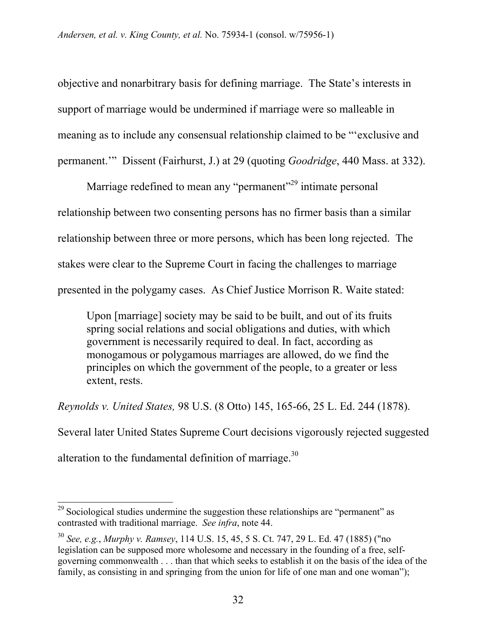objective and nonarbitrary basis for defining marriage. The State's interests in support of marriage would be undermined if marriage were so malleable in meaning as to include any consensual relationship claimed to be "'exclusive and permanent.'" Dissent (Fairhurst, J.) at 29 (quoting *Goodridge*, 440 Mass. at 332).

Marriage redefined to mean any "permanent"<sup>29</sup> intimate personal relationship between two consenting persons has no firmer basis than a similar relationship between three or more persons, which has been long rejected. The stakes were clear to the Supreme Court in facing the challenges to marriage presented in the polygamy cases. As Chief Justice Morrison R. Waite stated:

Upon [marriage] society may be said to be built, and out of its fruits spring social relations and social obligations and duties, with which government is necessarily required to deal. In fact, according as monogamous or polygamous marriages are allowed, do we find the principles on which the government of the people, to a greater or less extent, rests.

*Reynolds v. United States,* 98 U.S. (8 Otto) 145, 165-66, 25 L. Ed. 244 (1878). Several later United States Supreme Court decisions vigorously rejected suggested alteration to the fundamental definition of marriage.<sup>30</sup>

 $\overline{a}$  $29$  Sociological studies undermine the suggestion these relationships are "permanent" as contrasted with traditional marriage. *See infra*, note 44.

<sup>30</sup> *See, e.g.*, *Murphy v. Ramsey*, 114 U.S. 15, 45, 5 S. Ct. 747, 29 L. Ed. 47 (1885) ("no legislation can be supposed more wholesome and necessary in the founding of a free, selfgoverning commonwealth . . . than that which seeks to establish it on the basis of the idea of the family, as consisting in and springing from the union for life of one man and one woman");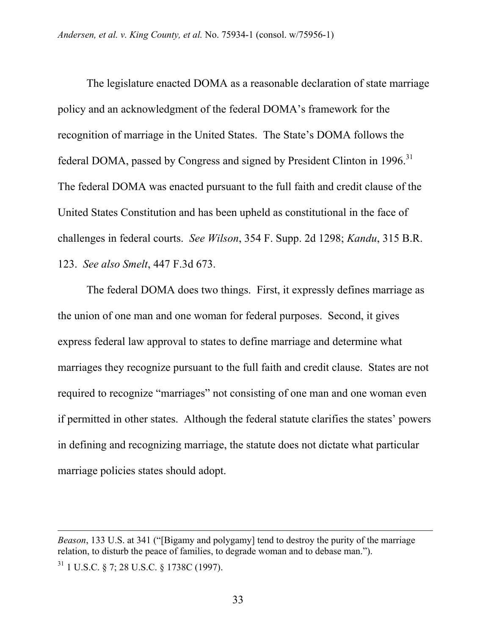The legislature enacted DOMA as a reasonable declaration of state marriage policy and an acknowledgment of the federal DOMA's framework for the recognition of marriage in the United States. The State's DOMA follows the federal DOMA, passed by Congress and signed by President Clinton in 1996.<sup>31</sup> The federal DOMA was enacted pursuant to the full faith and credit clause of the United States Constitution and has been upheld as constitutional in the face of challenges in federal courts. *See Wilson*, 354 F. Supp. 2d 1298; *Kandu*, 315 B.R. 123. *See also Smelt*, 447 F.3d 673.

The federal DOMA does two things. First, it expressly defines marriage as the union of one man and one woman for federal purposes. Second, it gives express federal law approval to states to define marriage and determine what marriages they recognize pursuant to the full faith and credit clause. States are not required to recognize "marriages" not consisting of one man and one woman even if permitted in other states. Although the federal statute clarifies the states' powers in defining and recognizing marriage, the statute does not dictate what particular marriage policies states should adopt.

*Beason*, 133 U.S. at 341 ("[Bigamy and polygamy] tend to destroy the purity of the marriage relation, to disturb the peace of families, to degrade woman and to debase man."). 31 1 U.S.C. § 7; 28 U.S.C. § 1738C (1997).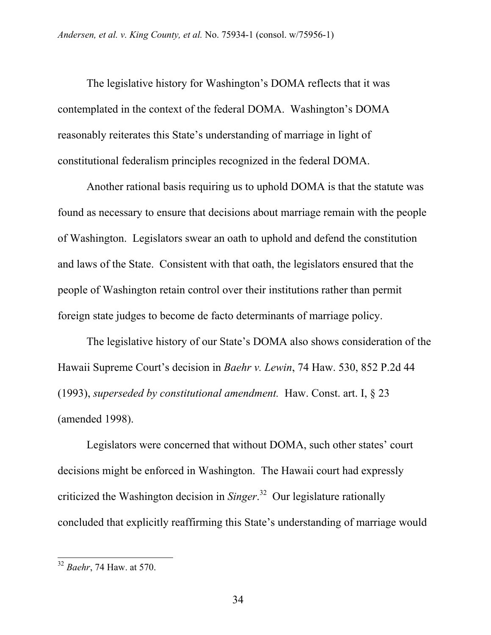The legislative history for Washington's DOMA reflects that it was contemplated in the context of the federal DOMA. Washington's DOMA reasonably reiterates this State's understanding of marriage in light of constitutional federalism principles recognized in the federal DOMA.

Another rational basis requiring us to uphold DOMA is that the statute was found as necessary to ensure that decisions about marriage remain with the people of Washington. Legislators swear an oath to uphold and defend the constitution and laws of the State. Consistent with that oath, the legislators ensured that the people of Washington retain control over their institutions rather than permit foreign state judges to become de facto determinants of marriage policy.

The legislative history of our State's DOMA also shows consideration of the Hawaii Supreme Court's decision in *Baehr v. Lewin*, 74 Haw. 530, 852 P.2d 44 (1993), *superseded by constitutional amendment.* Haw. Const. art. I, § 23 (amended 1998).

Legislators were concerned that without DOMA, such other states' court decisions might be enforced in Washington. The Hawaii court had expressly criticized the Washington decision in *Singer*. 32 Our legislature rationally concluded that explicitly reaffirming this State's understanding of marriage would

<sup>32</sup> *Baehr*, 74 Haw. at 570.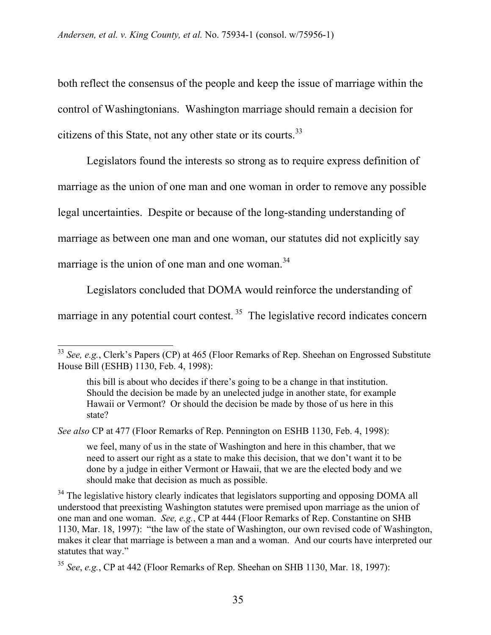both reflect the consensus of the people and keep the issue of marriage within the control of Washingtonians. Washington marriage should remain a decision for citizens of this State, not any other state or its courts.<sup>33</sup>

Legislators found the interests so strong as to require express definition of marriage as the union of one man and one woman in order to remove any possible legal uncertainties. Despite or because of the long-standing understanding of marriage as between one man and one woman, our statutes did not explicitly say marriage is the union of one man and one woman. $34$ 

Legislators concluded that DOMA would reinforce the understanding of marriage in any potential court contest.  $35$  The legislative record indicates concern

*See also* CP at 477 (Floor Remarks of Rep. Pennington on ESHB 1130, Feb. 4, 1998):

 $\overline{a}$ 

we feel, many of us in the state of Washington and here in this chamber, that we need to assert our right as a state to make this decision, that we don't want it to be done by a judge in either Vermont or Hawaii, that we are the elected body and we should make that decision as much as possible.

 $34$  The legislative history clearly indicates that legislators supporting and opposing DOMA all understood that preexisting Washington statutes were premised upon marriage as the union of one man and one woman. *See, e.g.*, CP at 444 (Floor Remarks of Rep. Constantine on SHB 1130, Mar. 18, 1997): "the law of the state of Washington, our own revised code of Washington, makes it clear that marriage is between a man and a woman. And our courts have interpreted our statutes that way."

<sup>33</sup> *See, e.g.*, Clerk's Papers (CP) at 465 (Floor Remarks of Rep. Sheehan on Engrossed Substitute House Bill (ESHB) 1130, Feb. 4, 1998):

this bill is about who decides if there's going to be a change in that institution. Should the decision be made by an unelected judge in another state, for example Hawaii or Vermont? Or should the decision be made by those of us here in this state?

<sup>35</sup> *See*, *e.g.*, CP at 442 (Floor Remarks of Rep. Sheehan on SHB 1130, Mar. 18, 1997):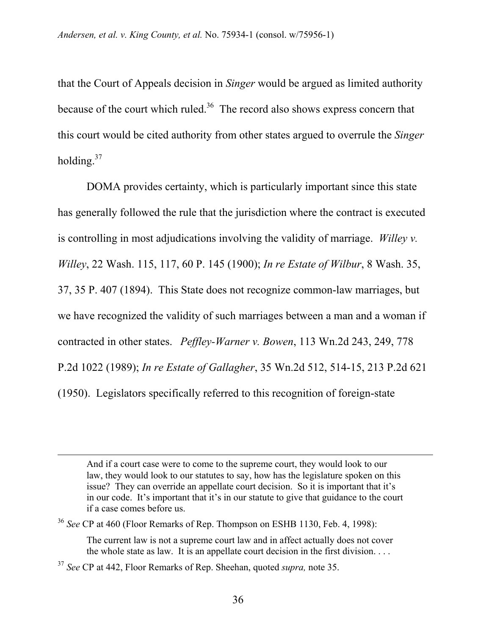that the Court of Appeals decision in *Singer* would be argued as limited authority because of the court which ruled. $36$  The record also shows express concern that this court would be cited authority from other states argued to overrule the *Singer*  holding.<sup>37</sup>

DOMA provides certainty, which is particularly important since this state has generally followed the rule that the jurisdiction where the contract is executed is controlling in most adjudications involving the validity of marriage. *Willey v. Willey*, 22 Wash. 115, 117, 60 P. 145 (1900); *In re Estate of Wilbur*, 8 Wash. 35, 37, 35 P. 407 (1894). This State does not recognize common-law marriages, but we have recognized the validity of such marriages between a man and a woman if contracted in other states. *Peffley-Warner v. Bowen*, 113 Wn.2d 243, 249, 778 P.2d 1022 (1989); *In re Estate of Gallagher*, 35 Wn.2d 512, 514-15, 213 P.2d 621 (1950). Legislators specifically referred to this recognition of foreign-state

And if a court case were to come to the supreme court, they would look to our law, they would look to our statutes to say, how has the legislature spoken on this issue? They can override an appellate court decision. So it is important that it's in our code. It's important that it's in our statute to give that guidance to the court if a case comes before us.

<sup>36</sup> *See* CP at 460 (Floor Remarks of Rep. Thompson on ESHB 1130, Feb. 4, 1998):

The current law is not a supreme court law and in affect actually does not cover the whole state as law. It is an appellate court decision in the first division. . . .

<sup>37</sup> *See* CP at 442, Floor Remarks of Rep. Sheehan, quoted *supra,* note 35.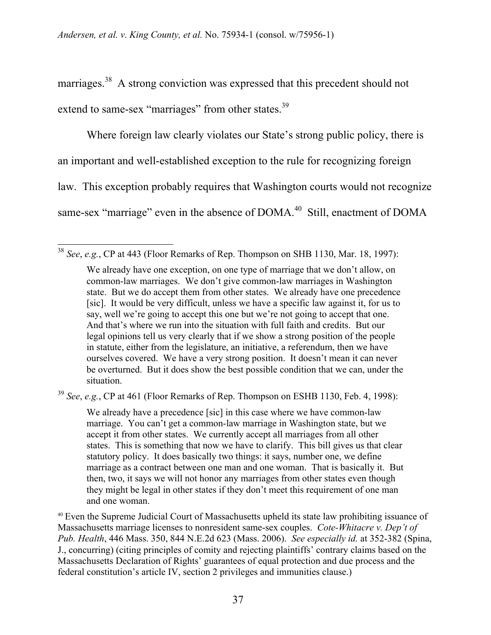marriages.<sup>38</sup> A strong conviction was expressed that this precedent should not extend to same-sex "marriages" from other states.<sup>39</sup>

Where foreign law clearly violates our State's strong public policy, there is an important and well-established exception to the rule for recognizing foreign law. This exception probably requires that Washington courts would not recognize same-sex "marriage" even in the absence of DOMA.<sup>40</sup> Still, enactment of DOMA

 $\overline{a}$ <sup>38</sup> *See*, *e.g.*, CP at 443 (Floor Remarks of Rep. Thompson on SHB 1130, Mar. 18, 1997):

We already have one exception, on one type of marriage that we don't allow, on common-law marriages. We don't give common-law marriages in Washington state. But we do accept them from other states. We already have one precedence [sic]. It would be very difficult, unless we have a specific law against it, for us to say, well we're going to accept this one but we're not going to accept that one. And that's where we run into the situation with full faith and credits. But our legal opinions tell us very clearly that if we show a strong position of the people in statute, either from the legislature, an initiative, a referendum, then we have ourselves covered. We have a very strong position. It doesn't mean it can never be overturned. But it does show the best possible condition that we can, under the situation.

<sup>39</sup> *See*, *e.g.*, CP at 461 (Floor Remarks of Rep. Thompson on ESHB 1130, Feb. 4, 1998):

We already have a precedence [sic] in this case where we have common-law marriage. You can't get a common-law marriage in Washington state, but we accept it from other states. We currently accept all marriages from all other states. This is something that now we have to clarify. This bill gives us that clear statutory policy. It does basically two things: it says, number one, we define marriage as a contract between one man and one woman. That is basically it. But then, two, it says we will not honor any marriages from other states even though they might be legal in other states if they don't meet this requirement of one man and one woman.

<sup>40</sup> Even the Supreme Judicial Court of Massachusetts upheld its state law prohibiting issuance of Massachusetts marriage licenses to nonresident same-sex couples. *Cote-Whitacre v. Dep't of Pub. Health*, 446 Mass. 350, 844 N.E.2d 623 (Mass. 2006). *See especially id.* at 352-382 (Spina, J., concurring) (citing principles of comity and rejecting plaintiffs' contrary claims based on the Massachusetts Declaration of Rights' guarantees of equal protection and due process and the federal constitution's article IV, section 2 privileges and immunities clause.)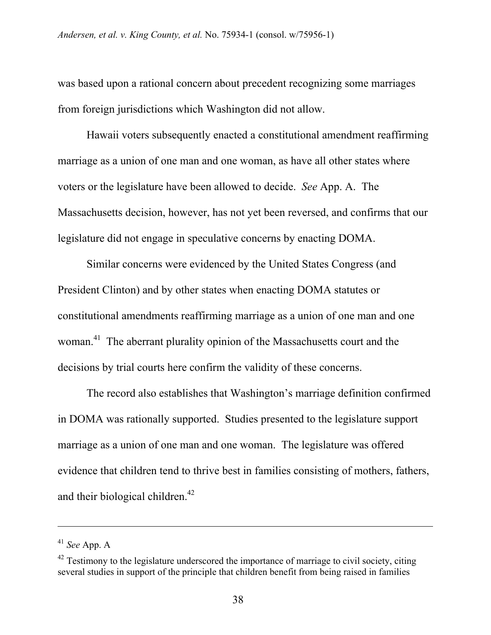was based upon a rational concern about precedent recognizing some marriages from foreign jurisdictions which Washington did not allow.

Hawaii voters subsequently enacted a constitutional amendment reaffirming marriage as a union of one man and one woman, as have all other states where voters or the legislature have been allowed to decide. *See* App. A. The Massachusetts decision, however, has not yet been reversed, and confirms that our legislature did not engage in speculative concerns by enacting DOMA.

Similar concerns were evidenced by the United States Congress (and President Clinton) and by other states when enacting DOMA statutes or constitutional amendments reaffirming marriage as a union of one man and one woman.<sup>41</sup> The aberrant plurality opinion of the Massachusetts court and the decisions by trial courts here confirm the validity of these concerns.

The record also establishes that Washington's marriage definition confirmed in DOMA was rationally supported. Studies presented to the legislature support marriage as a union of one man and one woman. The legislature was offered evidence that children tend to thrive best in families consisting of mothers, fathers, and their biological children.<sup>42</sup>

<sup>41</sup> *See* App. A

 $42$  Testimony to the legislature underscored the importance of marriage to civil society, citing several studies in support of the principle that children benefit from being raised in families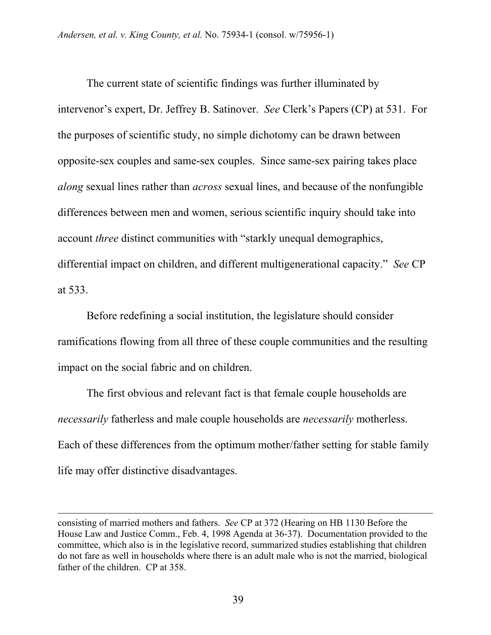The current state of scientific findings was further illuminated by intervenor's expert, Dr. Jeffrey B. Satinover. *See* Clerk's Papers (CP) at 531. For the purposes of scientific study, no simple dichotomy can be drawn between opposite-sex couples and same-sex couples. Since same-sex pairing takes place *along* sexual lines rather than *across* sexual lines, and because of the nonfungible differences between men and women, serious scientific inquiry should take into account *three* distinct communities with "starkly unequal demographics, differential impact on children, and different multigenerational capacity." *See* CP at 533.

Before redefining a social institution, the legislature should consider ramifications flowing from all three of these couple communities and the resulting impact on the social fabric and on children.

The first obvious and relevant fact is that female couple households are *necessarily* fatherless and male couple households are *necessarily* motherless. Each of these differences from the optimum mother/father setting for stable family life may offer distinctive disadvantages.

l

consisting of married mothers and fathers. *See* CP at 372 (Hearing on HB 1130 Before the House Law and Justice Comm., Feb. 4, 1998 Agenda at 36-37). Documentation provided to the committee, which also is in the legislative record, summarized studies establishing that children do not fare as well in households where there is an adult male who is not the married, biological father of the children. CP at 358.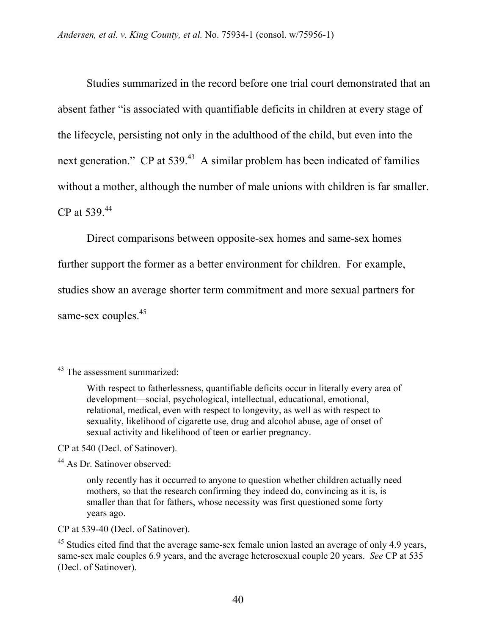Studies summarized in the record before one trial court demonstrated that an absent father "is associated with quantifiable deficits in children at every stage of the lifecycle, persisting not only in the adulthood of the child, but even into the next generation." CP at 539.<sup>43</sup> A similar problem has been indicated of families without a mother, although the number of male unions with children is far smaller. CP at 539.44

Direct comparisons between opposite-sex homes and same-sex homes

further support the former as a better environment for children. For example,

studies show an average shorter term commitment and more sexual partners for

same-sex couples.<sup>45</sup>

CP at 540 (Decl. of Satinover).

44 As Dr. Satinover observed:

CP at 539-40 (Decl. of Satinover).

 $\overline{a}$ <sup>43</sup> The assessment summarized:

With respect to fatherlessness, quantifiable deficits occur in literally every area of development—social, psychological, intellectual, educational, emotional, relational, medical, even with respect to longevity, as well as with respect to sexuality, likelihood of cigarette use, drug and alcohol abuse, age of onset of sexual activity and likelihood of teen or earlier pregnancy.

only recently has it occurred to anyone to question whether children actually need mothers, so that the research confirming they indeed do, convincing as it is, is smaller than that for fathers, whose necessity was first questioned some forty years ago.

<sup>&</sup>lt;sup>45</sup> Studies cited find that the average same-sex female union lasted an average of only 4.9 years, same-sex male couples 6.9 years, and the average heterosexual couple 20 years. *See* CP at 535 (Decl. of Satinover).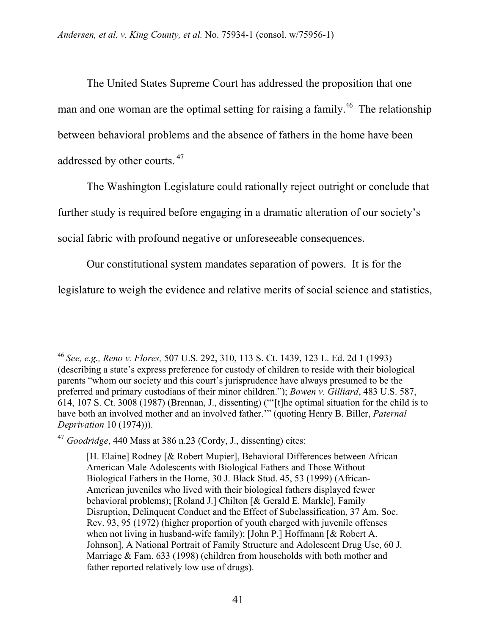The United States Supreme Court has addressed the proposition that one man and one woman are the optimal setting for raising a family.<sup>46</sup> The relationship between behavioral problems and the absence of fathers in the home have been addressed by other courts. 47

The Washington Legislature could rationally reject outright or conclude that further study is required before engaging in a dramatic alteration of our society's social fabric with profound negative or unforeseeable consequences.

Our constitutional system mandates separation of powers. It is for the

legislature to weigh the evidence and relative merits of social science and statistics,

 $\overline{a}$ <sup>46</sup> *See, e.g., Reno v. Flores,* 507 U.S. 292, 310, 113 S. Ct. 1439, 123 L. Ed. 2d 1 (1993) (describing a state's express preference for custody of children to reside with their biological parents "whom our society and this court's jurisprudence have always presumed to be the preferred and primary custodians of their minor children."); *Bowen v. Gilliard*, 483 U.S. 587, 614, 107 S. Ct. 3008 (1987) (Brennan, J., dissenting) ("'[t]he optimal situation for the child is to have both an involved mother and an involved father.'" (quoting Henry B. Biller, *Paternal Deprivation* 10 (1974))).

<sup>47</sup> *Goodridge*, 440 Mass at 386 n.23 (Cordy, J., dissenting) cites:

<sup>[</sup>H. Elaine] Rodney [& Robert Mupier], Behavioral Differences between African American Male Adolescents with Biological Fathers and Those Without Biological Fathers in the Home, 30 J. Black Stud. 45, 53 (1999) (African-American juveniles who lived with their biological fathers displayed fewer behavioral problems); [Roland J.] Chilton [& Gerald E. Markle], Family Disruption, Delinquent Conduct and the Effect of Subclassification, 37 Am. Soc. Rev. 93, 95 (1972) (higher proportion of youth charged with juvenile offenses when not living in husband-wife family); [John P.] Hoffmann [& Robert A. Johnson], A National Portrait of Family Structure and Adolescent Drug Use, 60 J. Marriage & Fam. 633 (1998) (children from households with both mother and father reported relatively low use of drugs).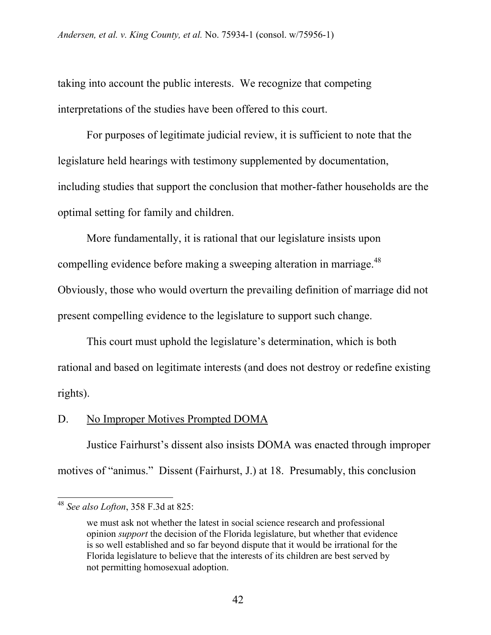taking into account the public interests. We recognize that competing interpretations of the studies have been offered to this court.

For purposes of legitimate judicial review, it is sufficient to note that the legislature held hearings with testimony supplemented by documentation, including studies that support the conclusion that mother-father households are the optimal setting for family and children.

More fundamentally, it is rational that our legislature insists upon compelling evidence before making a sweeping alteration in marriage.<sup>48</sup> Obviously, those who would overturn the prevailing definition of marriage did not present compelling evidence to the legislature to support such change.

This court must uphold the legislature's determination, which is both rational and based on legitimate interests (and does not destroy or redefine existing rights).

# D. No Improper Motives Prompted DOMA

Justice Fairhurst's dissent also insists DOMA was enacted through improper motives of "animus." Dissent (Fairhurst, J.) at 18. Presumably, this conclusion

<sup>48</sup> *See also Lofton*, 358 F.3d at 825:

we must ask not whether the latest in social science research and professional opinion *support* the decision of the Florida legislature, but whether that evidence is so well established and so far beyond dispute that it would be irrational for the Florida legislature to believe that the interests of its children are best served by not permitting homosexual adoption.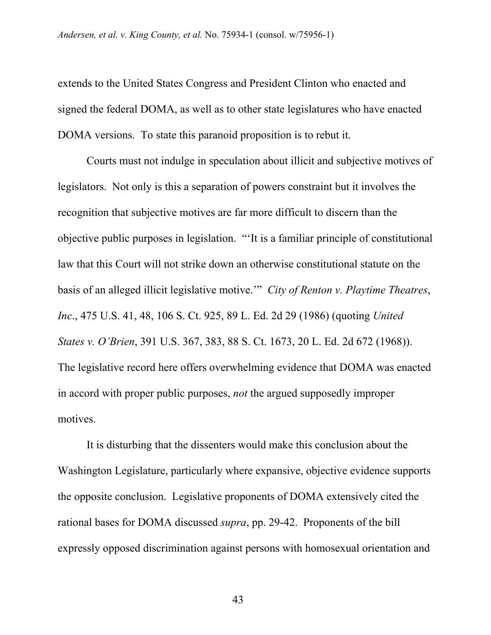extends to the United States Congress and President Clinton who enacted and signed the federal DOMA, as well as to other state legislatures who have enacted DOMA versions. To state this paranoid proposition is to rebut it.

Courts must not indulge in speculation about illicit and subjective motives of legislators. Not only is this a separation of powers constraint but it involves the recognition that subjective motives are far more difficult to discern than the objective public purposes in legislation. "'It is a familiar principle of constitutional law that this Court will not strike down an otherwise constitutional statute on the basis of an alleged illicit legislative motive.'" *City of Renton v. Playtime Theatres*, *Inc*., 475 U.S. 41, 48, 106 S. Ct. 925, 89 L. Ed. 2d 29 (1986) (quoting *United States v. O'Brien*, 391 U.S. 367, 383, 88 S. Ct. 1673, 20 L. Ed. 2d 672 (1968)). The legislative record here offers overwhelming evidence that DOMA was enacted in accord with proper public purposes, *not* the argued supposedly improper motives.

It is disturbing that the dissenters would make this conclusion about the Washington Legislature, particularly where expansive, objective evidence supports the opposite conclusion. Legislative proponents of DOMA extensively cited the rational bases for DOMA discussed *supra*, pp. 29-42. Proponents of the bill expressly opposed discrimination against persons with homosexual orientation and

43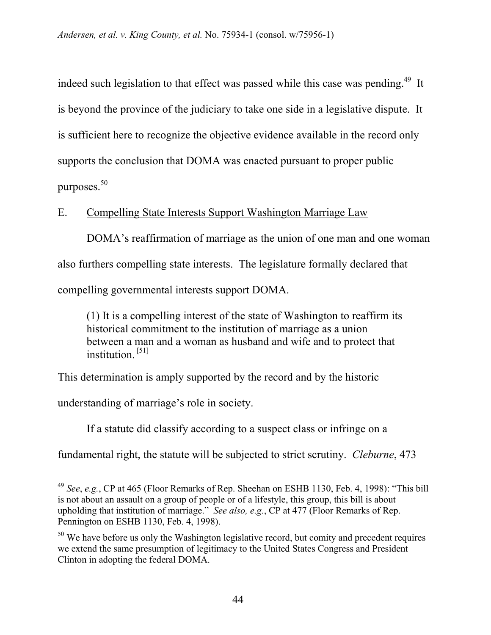indeed such legislation to that effect was passed while this case was pending.<sup>49</sup> It is beyond the province of the judiciary to take one side in a legislative dispute. It is sufficient here to recognize the objective evidence available in the record only supports the conclusion that DOMA was enacted pursuant to proper public purposes.<sup>50</sup>

E. Compelling State Interests Support Washington Marriage Law

DOMA's reaffirmation of marriage as the union of one man and one woman also furthers compelling state interests. The legislature formally declared that compelling governmental interests support DOMA.

(1) It is a compelling interest of the state of Washington to reaffirm its historical commitment to the institution of marriage as a union between a man and a woman as husband and wife and to protect that institution. [51]

This determination is amply supported by the record and by the historic

understanding of marriage's role in society.

 $\overline{\phantom{a}}$ 

If a statute did classify according to a suspect class or infringe on a

fundamental right, the statute will be subjected to strict scrutiny. *Cleburne*, 473

<sup>49</sup> *See*, *e.g.*, CP at 465 (Floor Remarks of Rep. Sheehan on ESHB 1130, Feb. 4, 1998): "This bill is not about an assault on a group of people or of a lifestyle, this group, this bill is about upholding that institution of marriage." *See also, e.g.*, CP at 477 (Floor Remarks of Rep. Pennington on ESHB 1130, Feb. 4, 1998).

 $50$  We have before us only the Washington legislative record, but comity and precedent requires we extend the same presumption of legitimacy to the United States Congress and President Clinton in adopting the federal DOMA.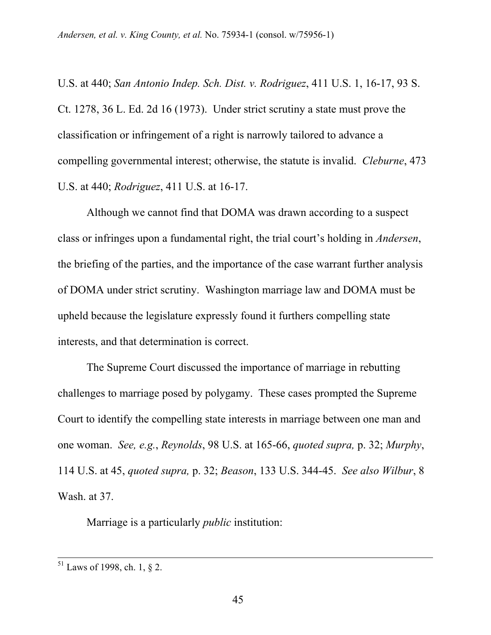U.S. at 440; *San Antonio Indep. Sch. Dist. v. Rodriguez*, 411 U.S. 1, 16-17, 93 S. Ct. 1278, 36 L. Ed. 2d 16 (1973). Under strict scrutiny a state must prove the classification or infringement of a right is narrowly tailored to advance a compelling governmental interest; otherwise, the statute is invalid. *Cleburne*, 473 U.S. at 440; *Rodriguez*, 411 U.S. at 16-17.

Although we cannot find that DOMA was drawn according to a suspect class or infringes upon a fundamental right, the trial court's holding in *Andersen*, the briefing of the parties, and the importance of the case warrant further analysis of DOMA under strict scrutiny. Washington marriage law and DOMA must be upheld because the legislature expressly found it furthers compelling state interests, and that determination is correct.

The Supreme Court discussed the importance of marriage in rebutting challenges to marriage posed by polygamy. These cases prompted the Supreme Court to identify the compelling state interests in marriage between one man and one woman. *See, e.g.*, *Reynolds*, 98 U.S. at 165-66, *quoted supra,* p. 32; *Murphy*, 114 U.S. at 45, *quoted supra,* p. 32; *Beason*, 133 U.S. 344-45. *See also Wilbur*, 8 Wash. at 37.

Marriage is a particularly *public* institution:

 $51$  Laws of 1998, ch. 1, 8 2.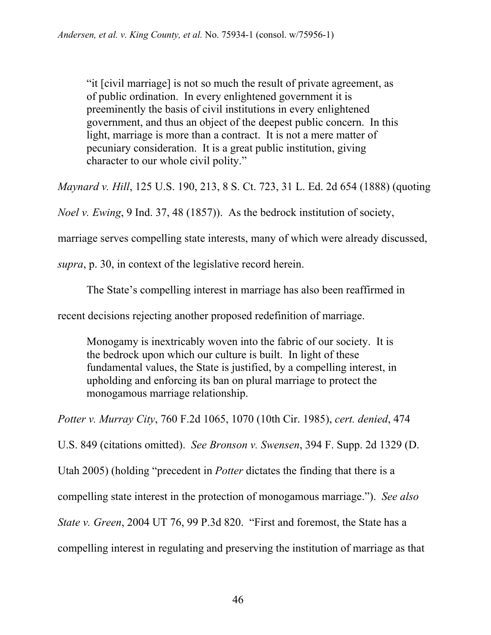"it [civil marriage] is not so much the result of private agreement, as of public ordination. In every enlightened government it is preeminently the basis of civil institutions in every enlightened government, and thus an object of the deepest public concern. In this light, marriage is more than a contract. It is not a mere matter of pecuniary consideration. It is a great public institution, giving character to our whole civil polity."

*Maynard v. Hill*, 125 U.S. 190, 213, 8 S. Ct. 723, 31 L. Ed. 2d 654 (1888) (quoting

*Noel v. Ewing*, 9 Ind. 37, 48 (1857)). As the bedrock institution of society,

marriage serves compelling state interests, many of which were already discussed,

*supra*, p. 30, in context of the legislative record herein.

The State's compelling interest in marriage has also been reaffirmed in

recent decisions rejecting another proposed redefinition of marriage.

Monogamy is inextricably woven into the fabric of our society. It is the bedrock upon which our culture is built. In light of these fundamental values, the State is justified, by a compelling interest, in upholding and enforcing its ban on plural marriage to protect the monogamous marriage relationship.

*Potter v. Murray City*, 760 F.2d 1065, 1070 (10th Cir. 1985), *cert. denied*, 474

U.S. 849 (citations omitted). *See Bronson v. Swensen*, 394 F. Supp. 2d 1329 (D.

Utah 2005) (holding "precedent in *Potter* dictates the finding that there is a

compelling state interest in the protection of monogamous marriage."). *See also* 

*State v. Green*, 2004 UT 76, 99 P.3d 820. "First and foremost, the State has a

compelling interest in regulating and preserving the institution of marriage as that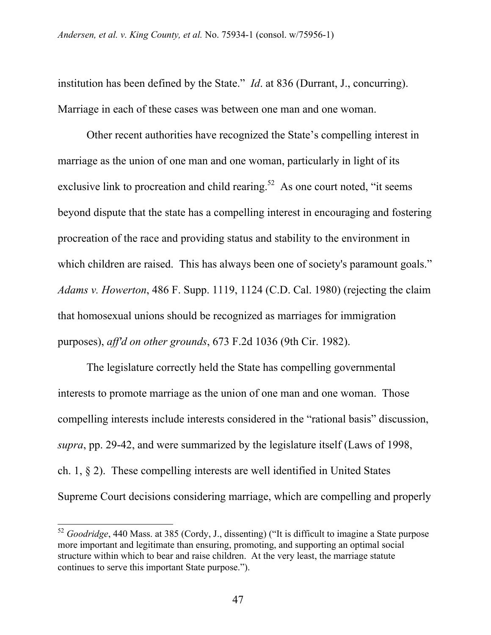institution has been defined by the State." *Id*. at 836 (Durrant, J., concurring). Marriage in each of these cases was between one man and one woman.

Other recent authorities have recognized the State's compelling interest in marriage as the union of one man and one woman, particularly in light of its exclusive link to procreation and child rearing.<sup>52</sup> As one court noted, "it seems beyond dispute that the state has a compelling interest in encouraging and fostering procreation of the race and providing status and stability to the environment in which children are raised. This has always been one of society's paramount goals." *Adams v. Howerton*, 486 F. Supp. 1119, 1124 (C.D. Cal. 1980) (rejecting the claim that homosexual unions should be recognized as marriages for immigration purposes), *aff'd on other grounds*, 673 F.2d 1036 (9th Cir. 1982).

The legislature correctly held the State has compelling governmental interests to promote marriage as the union of one man and one woman. Those compelling interests include interests considered in the "rational basis" discussion, *supra*, pp. 29-42, and were summarized by the legislature itself (Laws of 1998, ch. 1, § 2). These compelling interests are well identified in United States Supreme Court decisions considering marriage, which are compelling and properly

<sup>52</sup> *Goodridge*, 440 Mass. at 385 (Cordy, J., dissenting) ("It is difficult to imagine a State purpose more important and legitimate than ensuring, promoting, and supporting an optimal social structure within which to bear and raise children. At the very least, the marriage statute continues to serve this important State purpose.").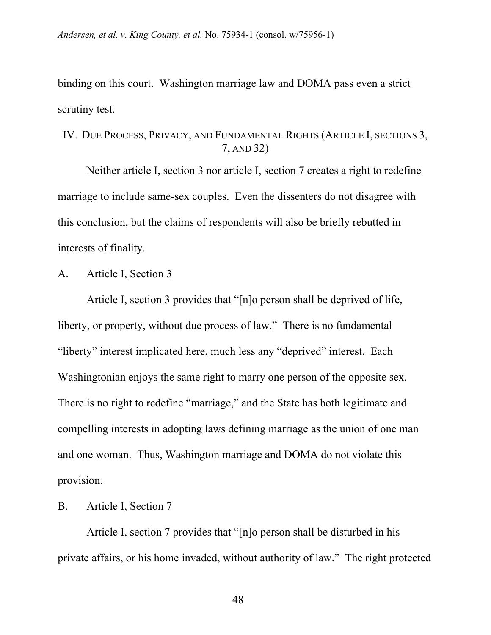binding on this court. Washington marriage law and DOMA pass even a strict scrutiny test.

# IV. DUE PROCESS, PRIVACY, AND FUNDAMENTAL RIGHTS (ARTICLE I, SECTIONS 3, 7, AND 32)

Neither article I, section 3 nor article I, section 7 creates a right to redefine marriage to include same-sex couples. Even the dissenters do not disagree with this conclusion, but the claims of respondents will also be briefly rebutted in interests of finality.

### A. Article I, Section 3

Article I, section 3 provides that "[n]o person shall be deprived of life, liberty, or property, without due process of law." There is no fundamental "liberty" interest implicated here, much less any "deprived" interest. Each Washingtonian enjoys the same right to marry one person of the opposite sex. There is no right to redefine "marriage," and the State has both legitimate and compelling interests in adopting laws defining marriage as the union of one man and one woman. Thus, Washington marriage and DOMA do not violate this provision.

### B. Article I, Section 7

Article I, section 7 provides that "[n]o person shall be disturbed in his private affairs, or his home invaded, without authority of law." The right protected

48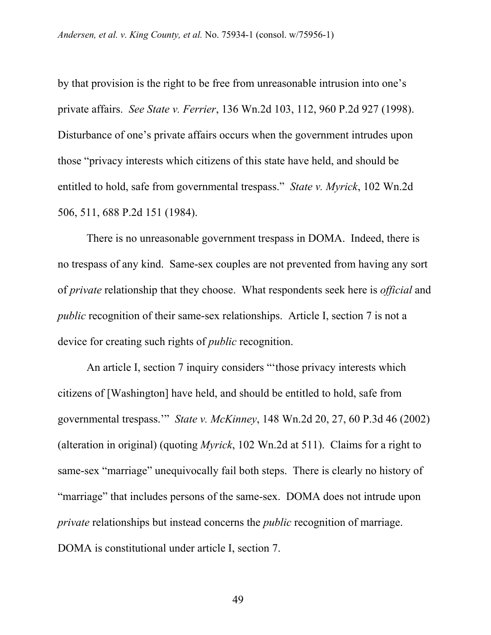by that provision is the right to be free from unreasonable intrusion into one's private affairs. *See State v. Ferrier*, 136 Wn.2d 103, 112, 960 P.2d 927 (1998). Disturbance of one's private affairs occurs when the government intrudes upon those "privacy interests which citizens of this state have held, and should be entitled to hold, safe from governmental trespass." *State v. Myrick*, 102 Wn.2d 506, 511, 688 P.2d 151 (1984).

There is no unreasonable government trespass in DOMA. Indeed, there is no trespass of any kind. Same-sex couples are not prevented from having any sort of *private* relationship that they choose. What respondents seek here is *official* and *public* recognition of their same-sex relationships. Article I, section 7 is not a device for creating such rights of *public* recognition.

An article I, section 7 inquiry considers "'those privacy interests which citizens of [Washington] have held, and should be entitled to hold, safe from governmental trespass.'" *State v. McKinney*, 148 Wn.2d 20, 27, 60 P.3d 46 (2002) (alteration in original) (quoting *Myrick*, 102 Wn.2d at 511). Claims for a right to same-sex "marriage" unequivocally fail both steps. There is clearly no history of "marriage" that includes persons of the same-sex. DOMA does not intrude upon *private* relationships but instead concerns the *public* recognition of marriage. DOMA is constitutional under article I, section 7.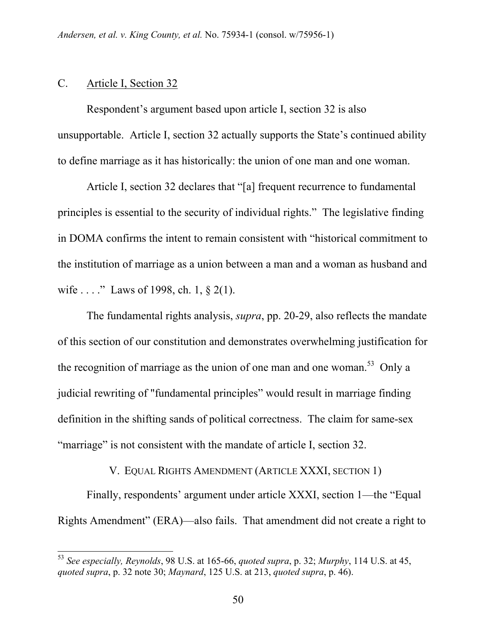#### C. Article I, Section 32

 $\overline{\phantom{a}}$ 

Respondent's argument based upon article I, section 32 is also unsupportable. Article I, section 32 actually supports the State's continued ability to define marriage as it has historically: the union of one man and one woman.

Article I, section 32 declares that "[a] frequent recurrence to fundamental principles is essential to the security of individual rights." The legislative finding in DOMA confirms the intent to remain consistent with "historical commitment to the institution of marriage as a union between a man and a woman as husband and wife . . . ." Laws of 1998, ch. 1, § 2(1).

The fundamental rights analysis, *supra*, pp. 20-29, also reflects the mandate of this section of our constitution and demonstrates overwhelming justification for the recognition of marriage as the union of one man and one woman.<sup>53</sup> Only a judicial rewriting of "fundamental principles" would result in marriage finding definition in the shifting sands of political correctness. The claim for same-sex "marriage" is not consistent with the mandate of article I, section 32.

### V. EQUAL RIGHTS AMENDMENT (ARTICLE XXXI, SECTION 1)

Finally, respondents' argument under article XXXI, section 1—the "Equal Rights Amendment" (ERA)—also fails. That amendment did not create a right to

<sup>53</sup> *See especially, Reynolds*, 98 U.S. at 165-66, *quoted supra*, p. 32; *Murphy*, 114 U.S. at 45, *quoted supra*, p. 32 note 30; *Maynard*, 125 U.S. at 213, *quoted supra*, p. 46).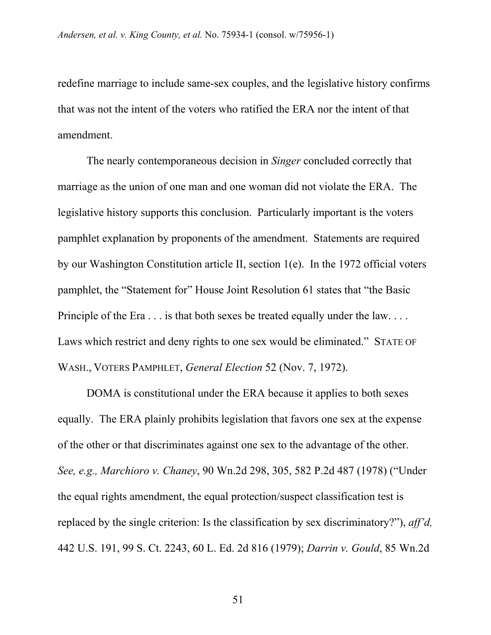redefine marriage to include same-sex couples, and the legislative history confirms that was not the intent of the voters who ratified the ERA nor the intent of that amendment.

The nearly contemporaneous decision in *Singer* concluded correctly that marriage as the union of one man and one woman did not violate the ERA. The legislative history supports this conclusion. Particularly important is the voters pamphlet explanation by proponents of the amendment. Statements are required by our Washington Constitution article II, section 1(e). In the 1972 official voters pamphlet, the "Statement for" House Joint Resolution 61 states that "the Basic Principle of the Era . . . is that both sexes be treated equally under the law. . . . Laws which restrict and deny rights to one sex would be eliminated." STATE OF WASH., VOTERS PAMPHLET, *General Election* 52 (Nov. 7, 1972).

DOMA is constitutional under the ERA because it applies to both sexes equally. The ERA plainly prohibits legislation that favors one sex at the expense of the other or that discriminates against one sex to the advantage of the other. *See, e.g., Marchioro v. Chaney*, 90 Wn.2d 298, 305, 582 P.2d 487 (1978) ("Under the equal rights amendment, the equal protection/suspect classification test is replaced by the single criterion: Is the classification by sex discriminatory?"), *aff'd,*  442 U.S. 191, 99 S. Ct. 2243, 60 L. Ed. 2d 816 (1979); *Darrin v. Gould*, 85 Wn.2d

51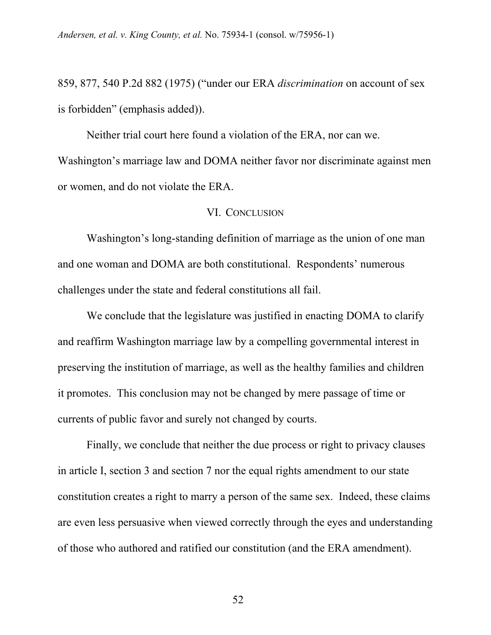859, 877, 540 P.2d 882 (1975) ("under our ERA *discrimination* on account of sex is forbidden" (emphasis added)).

Neither trial court here found a violation of the ERA, nor can we. Washington's marriage law and DOMA neither favor nor discriminate against men or women, and do not violate the ERA.

### VI. CONCLUSION

Washington's long-standing definition of marriage as the union of one man and one woman and DOMA are both constitutional. Respondents' numerous challenges under the state and federal constitutions all fail.

We conclude that the legislature was justified in enacting DOMA to clarify and reaffirm Washington marriage law by a compelling governmental interest in preserving the institution of marriage, as well as the healthy families and children it promotes. This conclusion may not be changed by mere passage of time or currents of public favor and surely not changed by courts.

Finally, we conclude that neither the due process or right to privacy clauses in article I, section 3 and section 7 nor the equal rights amendment to our state constitution creates a right to marry a person of the same sex. Indeed, these claims are even less persuasive when viewed correctly through the eyes and understanding of those who authored and ratified our constitution (and the ERA amendment).

52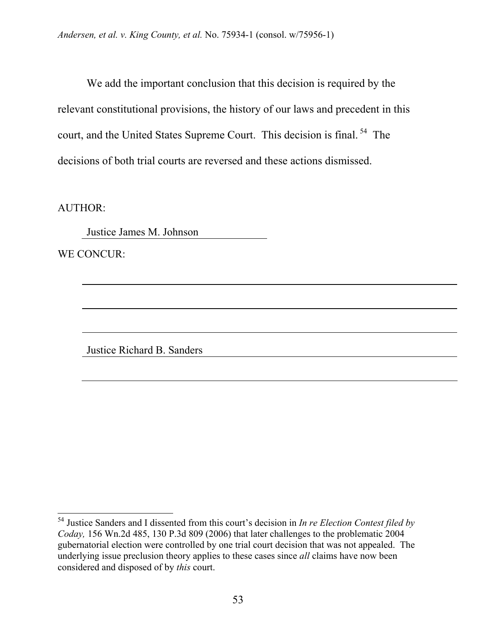We add the important conclusion that this decision is required by the relevant constitutional provisions, the history of our laws and precedent in this court, and the United States Supreme Court. This decision is final.<sup>54</sup> The decisions of both trial courts are reversed and these actions dismissed.

AUTHOR:

l

Justice James M. Johnson

WE CONCUR:

Justice Richard B. Sanders

<sup>54</sup> Justice Sanders and I dissented from this court's decision in *In re Election Contest filed by Coday,* 156 Wn.2d 485, 130 P.3d 809 (2006) that later challenges to the problematic 2004 gubernatorial election were controlled by one trial court decision that was not appealed. The underlying issue preclusion theory applies to these cases since *all* claims have now been considered and disposed of by *this* court.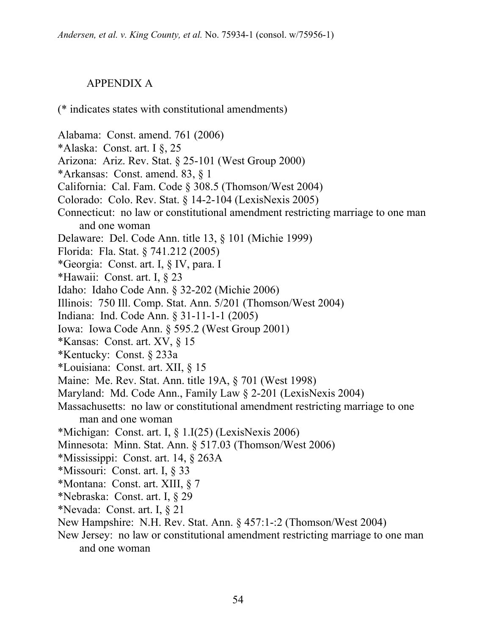# APPENDIX A

### (\* indicates states with constitutional amendments)

- Alabama: Const. amend. 761 (2006)
- \*Alaska: Const. art. I §, 25
- Arizona: Ariz. Rev. Stat. § 25-101 (West Group 2000)
- \*Arkansas: Const. amend. 83, § 1
- California: Cal. Fam. Code § 308.5 (Thomson/West 2004)
- Colorado: Colo. Rev. Stat. § 14-2-104 (LexisNexis 2005)
- Connecticut: no law or constitutional amendment restricting marriage to one man and one woman
- Delaware: Del. Code Ann. title 13, § 101 (Michie 1999)
- Florida: Fla. Stat. § 741.212 (2005)
- \*Georgia: Const. art. I, § IV, para. I
- \*Hawaii: Const. art. I, § 23
- Idaho: Idaho Code Ann. § 32-202 (Michie 2006)
- Illinois: 750 Ill. Comp. Stat. Ann. 5/201 (Thomson/West 2004)
- Indiana: Ind. Code Ann. § 31-11-1-1 (2005)
- Iowa: Iowa Code Ann. § 595.2 (West Group 2001)
- \*Kansas: Const. art. XV, § 15
- \*Kentucky: Const. § 233a
- \*Louisiana: Const. art. XII, § 15
- Maine: Me. Rev. Stat. Ann. title 19A, § 701 (West 1998)
- Maryland: Md. Code Ann., Family Law § 2-201 (LexisNexis 2004)
- Massachusetts: no law or constitutional amendment restricting marriage to one man and one woman
- \*Michigan: Const. art. I,  $\S$  1.I(25) (LexisNexis 2006)
- Minnesota: Minn. Stat. Ann. § 517.03 (Thomson/West 2006)
- \*Mississippi: Const. art. 14, § 263A
- \*Missouri: Const. art. I, § 33
- \*Montana: Const. art. XIII, § 7
- \*Nebraska: Const. art. I, § 29
- \*Nevada: Const. art. I, § 21
- New Hampshire: N.H. Rev. Stat. Ann. § 457:1-:2 (Thomson/West 2004)
- New Jersey: no law or constitutional amendment restricting marriage to one man and one woman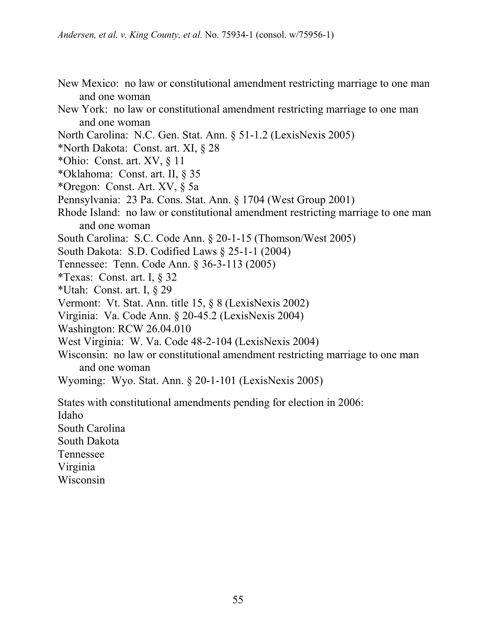- New Mexico: no law or constitutional amendment restricting marriage to one man and one woman
- New York: no law or constitutional amendment restricting marriage to one man and one woman
- North Carolina: N.C. Gen. Stat. Ann. § 51-1.2 (LexisNexis 2005)
- \*North Dakota: Const. art. XI, § 28
- \*Ohio: Const. art.  $XV$ ,  $\S$  11
- \*Oklahoma: Const. art. II, § 35
- \*Oregon: Const. Art. XV, § 5a
- Pennsylvania: 23 Pa. Cons. Stat. Ann. § 1704 (West Group 2001)
- Rhode Island: no law or constitutional amendment restricting marriage to one man and one woman
- South Carolina: S.C. Code Ann. § 20-1-15 (Thomson/West 2005)
- South Dakota: S.D. Codified Laws § 25-1-1 (2004)
- Tennessee: Tenn. Code Ann. § 36-3-113 (2005)
- \*Texas: Const. art. I, § 32
- \*Utah: Const. art. I, § 29
- Vermont: Vt. Stat. Ann. title 15, § 8 (LexisNexis 2002)
- Virginia: Va. Code Ann. § 20-45.2 (LexisNexis 2004)
- Washington: RCW 26.04.010
- West Virginia: W. Va. Code 48-2-104 (LexisNexis 2004)
- Wisconsin: no law or constitutional amendment restricting marriage to one man and one woman
- Wyoming: Wyo. Stat. Ann. § 20-1-101 (LexisNexis 2005)

States with constitutional amendments pending for election in 2006:

Idaho

South Carolina South Dakota

Tennessee

Virginia

Wisconsin